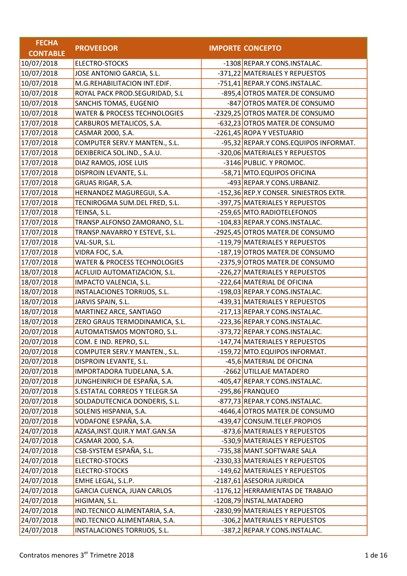| <b>FECHA</b>    |                                         |                                        |
|-----------------|-----------------------------------------|----------------------------------------|
| <b>CONTABLE</b> | <b>PROVEEDOR</b>                        | <b>IMPORTE CONCEPTO</b>                |
| 10/07/2018      | <b>ELECTRO-STOCKS</b>                   | -1308 REPAR.Y CONS.INSTALAC.           |
| 10/07/2018      | JOSE ANTONIO GARCIA, S.L.               | -371,22 MATERIALES Y REPUESTOS         |
| 10/07/2018      | M.G.REHABILITACION INT.EDIF.            | -751,41 REPAR.Y CONS.INSTALAC.         |
| 10/07/2018      | ROYAL PACK PROD.SEGURIDAD, S.L          | -895,4 OTROS MATER.DE CONSUMO          |
| 10/07/2018      | SANCHIS TOMAS, EUGENIO                  | -847 OTROS MATER.DE CONSUMO            |
| 10/07/2018      | <b>WATER &amp; PROCESS TECHNOLOGIES</b> | -2329,25 OTROS MATER.DE CONSUMO        |
| 17/07/2018      | CARBUROS METALICOS, S.A.                | -632,23 OTROS MATER.DE CONSUMO         |
| 17/07/2018      | CASMAR 2000, S.A.                       | -2261,45 ROPA Y VESTUARIO              |
| 17/07/2018      | COMPUTER SERV.Y MANTEN., S.L.           | -95,32 REPAR.Y CONS.EQUIPOS INFORMAT.  |
| 17/07/2018      | DEXIBERICA SOL.IND., S.A.U.             | -320,06 MATERIALES Y REPUESTOS         |
| 17/07/2018      | DIAZ RAMOS, JOSE LUIS                   | -3146 PUBLIC. Y PROMOC.                |
| 17/07/2018      | DISPROIN LEVANTE, S.L.                  | -58,71 MTO.EQUIPOS OFICINA             |
| 17/07/2018      | GRUAS RIGAR, S.A.                       | -493 REPAR.Y CONS.URBANIZ.             |
| 17/07/2018      | HERNANDEZ MAGUREGUI, S.A.               | -152,36 REP.Y CONSER. SINIESTROS EXTR. |
| 17/07/2018      | TECNIROGMA SUM.DEL FRED, S.L.           | -397,75 MATERIALES Y REPUESTOS         |
| 17/07/2018      | TEINSA, S.L.                            | -259,65 MTO.RADIOTELEFONOS             |
| 17/07/2018      | TRANSP.ALFONSO ZAMORANO, S.L.           | -104,83 REPAR.Y CONS.INSTALAC.         |
| 17/07/2018      | TRANSP.NAVARRO Y ESTEVE, S.L.           | -2925,45 OTROS MATER.DE CONSUMO        |
| 17/07/2018      | VAL-SUR, S.L.                           | -119,79 MATERIALES Y REPUESTOS         |
| 17/07/2018      | VIDRA FOC, S.A.                         | -187,19 OTROS MATER.DE CONSUMO         |
| 17/07/2018      | WATER & PROCESS TECHNOLOGIES            | -2375,9 OTROS MATER.DE CONSUMO         |
| 18/07/2018      | ACFLUID AUTOMATIZACION, S.L.            | -226,27 MATERIALES Y REPUESTOS         |
| 18/07/2018      | IMPACTO VALENCIA, S.L.                  | -222,64 MATERIAL DE OFICINA            |
| 18/07/2018      | INSTALACIONES TORRIJOS, S.L.            | -198,03 REPAR.Y CONS.INSTALAC.         |
| 18/07/2018      | JARVIS SPAIN, S.L.                      | -439,31 MATERIALES Y REPUESTOS         |
| 18/07/2018      | MARTINEZ ARCE, SANTIAGO                 | -217,13 REPAR.Y CONS.INSTALAC.         |
| 18/07/2018      | ZERO GRAUS TERMODINAMICA, S.L.          | -223,36 REPAR.Y CONS.INSTALAC.         |
| 20/07/2018      | AUTOMATISMOS MONTORO, S.L.              | -373,72 REPAR.Y CONS.INSTALAC.         |
| 20/07/2018      | COM. E IND. REPRO, S.L.                 | -147,74 MATERIALES Y REPUESTOS         |
| 20/07/2018      | COMPUTER SERV.Y MANTEN., S.L.           | -159,72 MTO.EQUIPOS INFORMAT.          |
| 20/07/2018      | DISPROIN LEVANTE, S.L.                  | -45,6 MATERIAL DE OFICINA              |
| 20/07/2018      | IMPORTADORA TUDELANA, S.A.              | -2662 UTILLAJE MATADERO                |
| 20/07/2018      | JUNGHEINRICH DE ESPAÑA, S.A.            | -405,47 REPAR.Y CONS.INSTALAC.         |
| 20/07/2018      | S.ESTATAL CORREOS Y TELEGR.SA           | -295,86 FRANQUEO                       |
| 20/07/2018      | SOLDADUTECNICA DONDERIS, S.L.           | -877,73 REPAR.Y CONS.INSTALAC.         |
| 20/07/2018      | SOLENIS HISPANIA, S.A.                  | -4646,4 OTROS MATER.DE CONSUMO         |
| 20/07/2018      | VODAFONE ESPAÑA, S.A.                   | -439,47 CONSUM.TELEF.PROPIOS           |
| 24/07/2018      | AZASA, INST. QUIR. Y MAT. GAN. SA       | -873,6 MATERIALES Y REPUESTOS          |
| 24/07/2018      | CASMAR 2000, S.A.                       | -530,9 MATERIALES Y REPUESTOS          |
| 24/07/2018      | CSB-SYSTEM ESPAÑA, S.L.                 | -735,38 MANT.SOFTWARE SALA             |
| 24/07/2018      | <b>ELECTRO-STOCKS</b>                   | -2330,33 MATERIALES Y REPUESTOS        |
| 24/07/2018      | ELECTRO-STOCKS                          | -149,62 MATERIALES Y REPUESTOS         |
| 24/07/2018      | EMHE LEGAL, S.L.P.                      | -2187,61 ASESORIA JURIDICA             |
| 24/07/2018      | <b>GARCIA CUENCA, JUAN CARLOS</b>       | -1176,12 HERRAMIENTAS DE TRABAJO       |
| 24/07/2018      | HIGIMAN, S.L.                           | -1208,79 INSTAL.MATADERO               |
| 24/07/2018      | IND.TECNICO ALIMENTARIA, S.A.           | -2830,99 MATERIALES Y REPUESTOS        |
| 24/07/2018      | IND.TECNICO ALIMENTARIA, S.A.           | -306,2 MATERIALES Y REPUESTOS          |
| 24/07/2018      | INSTALACIONES TORRIJOS, S.L.            | -387,2 REPAR.Y CONS.INSTALAC.          |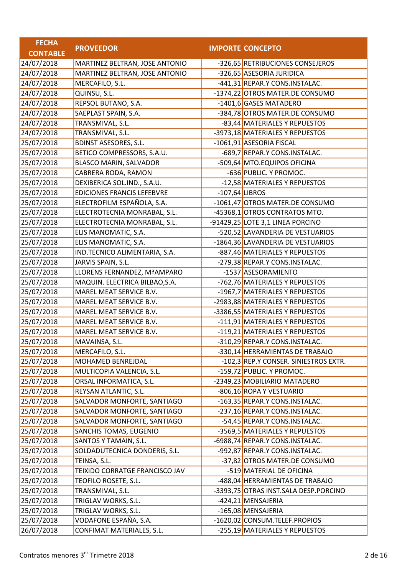| <b>FECHA</b>    |                                   |                  |                                       |
|-----------------|-----------------------------------|------------------|---------------------------------------|
| <b>CONTABLE</b> | <b>PROVEEDOR</b>                  |                  | <b>IMPORTE CONCEPTO</b>               |
| 24/07/2018      | MARTINEZ BELTRAN, JOSE ANTONIO    |                  | -326,65 RETRIBUCIONES CONSEJEROS      |
| 24/07/2018      | MARTINEZ BELTRAN, JOSE ANTONIO    |                  | -326,65 ASESORIA JURIDICA             |
| 24/07/2018      | MERCAFILO, S.L.                   |                  | -441,31 REPAR.Y CONS.INSTALAC.        |
| 24/07/2018      | QUINSU, S.L.                      |                  | -1374,22 OTROS MATER.DE CONSUMO       |
| 24/07/2018      | REPSOL BUTANO, S.A.               |                  | -1401,6 GASES MATADERO                |
| 24/07/2018      | SAEPLAST SPAIN, S.A.              |                  | -384,78 OTROS MATER.DE CONSUMO        |
| 24/07/2018      | TRANSMIVAL, S.L.                  |                  | -83,44 MATERIALES Y REPUESTOS         |
| 24/07/2018      | TRANSMIVAL, S.L.                  |                  | -3973,18 MATERIALES Y REPUESTOS       |
| 25/07/2018      | <b>BDINST ASESORES, S.L.</b>      |                  | -1061,91 ASESORIA FISCAL              |
| 25/07/2018      | BETICO COMPRESSORS, S.A.U.        |                  | -689,7 REPAR.Y CONS.INSTALAC.         |
| 25/07/2018      | <b>BLASCO MARIN, SALVADOR</b>     |                  | -509,64 MTO.EQUIPOS OFICINA           |
| 25/07/2018      | CABRERA RODA, RAMON               |                  | -636 PUBLIC. Y PROMOC.                |
| 25/07/2018      | DEXIBERICA SOL.IND., S.A.U.       |                  | -12,58 MATERIALES Y REPUESTOS         |
| 25/07/2018      | <b>EDICIONES FRANCIS LEFEBVRE</b> | $-107,64$ LIBROS |                                       |
| 25/07/2018      | ELECTROFILM ESPAÑOLA, S.A.        |                  | -1061,47 OTROS MATER.DE CONSUMO       |
| 25/07/2018      | ELECTROTECNIA MONRABAL, S.L.      |                  | -45368,1 OTROS CONTRATOS MTO.         |
| 25/07/2018      | ELECTROTECNIA MONRABAL, S.L.      |                  | -91429,25 LOTE 3,1 LINEA PORCINO      |
| 25/07/2018      | ELIS MANOMATIC, S.A.              |                  | -520,52 LAVANDERIA DE VESTUARIOS      |
| 25/07/2018      | ELIS MANOMATIC, S.A.              |                  | -1864,36 LAVANDERIA DE VESTUARIOS     |
| 25/07/2018      | IND.TECNICO ALIMENTARIA, S.A.     |                  | -887,46 MATERIALES Y REPUESTOS        |
| 25/07/2018      | JARVIS SPAIN, S.L.                |                  | -279,38 REPAR.Y CONS.INSTALAC.        |
| 25/07/2018      | LLORENS FERNANDEZ, MªAMPARO       |                  | -1537 ASESORAMIENTO                   |
| 25/07/2018      | MAQUIN. ELECTRICA BILBAO, S.A.    |                  | -762,76 MATERIALES Y REPUESTOS        |
| 25/07/2018      | MAREL MEAT SERVICE B.V.           |                  | -1967,7 MATERIALES Y REPUESTOS        |
| 25/07/2018      | MAREL MEAT SERVICE B.V.           |                  | -2983,88 MATERIALES Y REPUESTOS       |
| 25/07/2018      | MAREL MEAT SERVICE B.V.           |                  | -3386,55 MATERIALES Y REPUESTOS       |
| 25/07/2018      | MAREL MEAT SERVICE B.V.           |                  | -111,91 MATERIALES Y REPUESTOS        |
| 25/07/2018      | MAREL MEAT SERVICE B.V.           |                  | -119,21 MATERIALES Y REPUESTOS        |
| 25/07/2018      | MAVAINSA, S.L.                    |                  | -310,29 REPAR.Y CONS.INSTALAC.        |
| 25/07/2018      | MERCAFILO, S.L.                   |                  | -330,14 HERRAMIENTAS DE TRABAJO       |
| 25/07/2018      | MOHAMED BENREJDAL                 |                  | -102,3 REP.Y CONSER. SINIESTROS EXTR. |
| 25/07/2018      | MULTICOPIA VALENCIA, S.L.         |                  | -159,72 PUBLIC. Y PROMOC.             |
| 25/07/2018      | ORSAL INFORMATICA, S.L.           |                  | -2349,23 MOBILIARIO MATADERO          |
| 25/07/2018      | REYSAN ATLANTIC, S.L.             |                  | -806,16 ROPA Y VESTUARIO              |
| 25/07/2018      | SALVADOR MONFORTE, SANTIAGO       |                  | -163,35 REPAR.Y CONS.INSTALAC.        |
| 25/07/2018      | SALVADOR MONFORTE, SANTIAGO       |                  | -237,16 REPAR.Y CONS.INSTALAC.        |
| 25/07/2018      | SALVADOR MONFORTE, SANTIAGO       |                  | -54,45 REPAR.Y CONS.INSTALAC.         |
| 25/07/2018      | SANCHIS TOMAS, EUGENIO            |                  | -3569,5 MATERIALES Y REPUESTOS        |
| 25/07/2018      | SANTOS Y TAMAIN, S.L.             |                  | -6988,74 REPAR.Y CONS.INSTALAC.       |
| 25/07/2018      | SOLDADUTECNICA DONDERIS, S.L.     |                  | -992,87 REPAR.Y CONS.INSTALAC.        |
| 25/07/2018      | TEINSA, S.L.                      |                  | -37,82 OTROS MATER.DE CONSUMO         |
| 25/07/2018      | TEIXIDO CORRATGE FRANCISCO JAV    |                  | -519 MATERIAL DE OFICINA              |
| 25/07/2018      | TEOFILO ROSETE, S.L.              |                  | -488,04 HERRAMIENTAS DE TRABAJO       |
| 25/07/2018      | TRANSMIVAL, S.L.                  |                  | -3393,75 OTRAS INST.SALA DESP.PORCINO |
| 25/07/2018      | TRIGLAV WORKS, S.L.               |                  | -424,21 MENSAJERIA                    |
| 25/07/2018      | TRIGLAV WORKS, S.L.               |                  | -165,08 MENSAJERIA                    |
| 25/07/2018      | VODAFONE ESPAÑA, S.A.             |                  | -1620,02 CONSUM.TELEF.PROPIOS         |
| 26/07/2018      | CONFIMAT MATERIALES, S.L.         |                  | -255,19 MATERIALES Y REPUESTOS        |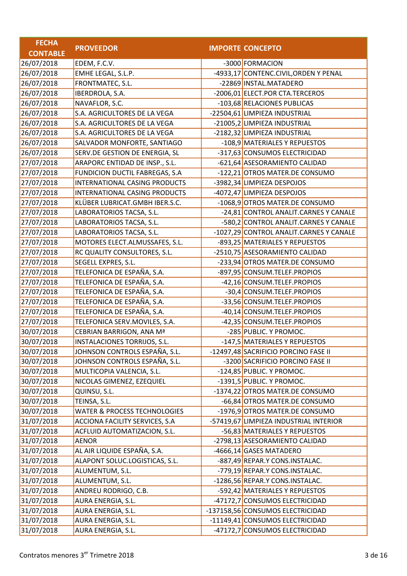| <b>FECHA</b>    |                                         |                                         |
|-----------------|-----------------------------------------|-----------------------------------------|
| <b>CONTABLE</b> | <b>PROVEEDOR</b>                        | <b>IMPORTE CONCEPTO</b>                 |
| 26/07/2018      | EDEM, F.C.V.                            | -3000 FORMACION                         |
| 26/07/2018      | EMHE LEGAL, S.L.P.                      | -4933,17 CONTENC.CIVIL, ORDEN Y PENAL   |
| 26/07/2018      | FRONTMATEC, S.L.                        | -22869 INSTAL.MATADERO                  |
| 26/07/2018      | IBERDROLA, S.A.                         | -2006,01 ELECT.POR CTA.TERCEROS         |
| 26/07/2018      | NAVAFLOR, S.C.                          | -103,68 RELACIONES PUBLICAS             |
| 26/07/2018      | S.A. AGRICULTORES DE LA VEGA            | -22504,61 LIMPIEZA INDUSTRIAL           |
| 26/07/2018      | S.A. AGRICULTORES DE LA VEGA            | -21005,2 LIMPIEZA INDUSTRIAL            |
| 26/07/2018      | S.A. AGRICULTORES DE LA VEGA            | -2182,32 LIMPIEZA INDUSTRIAL            |
| 26/07/2018      | SALVADOR MONFORTE, SANTIAGO             | -108,9 MATERIALES Y REPUESTOS           |
| 26/07/2018      | SERV.DE GESTION DE ENERGIA, SL          | -317,63 CONSUMOS ELECTRICIDAD           |
| 27/07/2018      | ARAPORC ENTIDAD DE INSP., S.L.          | -621,64 ASESORAMIENTO CALIDAD           |
| 27/07/2018      | FUNDICION DUCTIL FABREGAS, S.A          | -122,21 OTROS MATER.DE CONSUMO          |
| 27/07/2018      | INTERNATIONAL CASING PRODUCTS           | -3982,34 LIMPIEZA DESPOJOS              |
| 27/07/2018      | INTERNATIONAL CASING PRODUCTS           | -4072,47 LIMPIEZA DESPOJOS              |
| 27/07/2018      | KLÜBER LUBRICAT.GMBH IBER.S.C.          | -1068,9 OTROS MATER.DE CONSUMO          |
| 27/07/2018      | LABORATORIOS TACSA, S.L.                | -24,81 CONTROL ANALIT.CARNES Y CANALE   |
| 27/07/2018      | LABORATORIOS TACSA, S.L.                | -580,2 CONTROL ANALIT.CARNES Y CANALE   |
| 27/07/2018      | LABORATORIOS TACSA, S.L.                | -1027,29 CONTROL ANALIT.CARNES Y CANALE |
| 27/07/2018      | MOTORES ELECT.ALMUSSAFES, S.L.          | -893,25 MATERIALES Y REPUESTOS          |
| 27/07/2018      | RC QUALITY CONSULTORES, S.L.            | -2510,75 ASESORAMIENTO CALIDAD          |
| 27/07/2018      | SEGELL EXPRES, S.L.                     | -233,94 OTROS MATER.DE CONSUMO          |
| 27/07/2018      | TELEFONICA DE ESPAÑA, S.A.              | -897,95 CONSUM.TELEF.PROPIOS            |
| 27/07/2018      | TELEFONICA DE ESPAÑA, S.A.              | -42,16 CONSUM.TELEF.PROPIOS             |
| 27/07/2018      | TELEFONICA DE ESPAÑA, S.A.              | -30,4 CONSUM.TELEF.PROPIOS              |
| 27/07/2018      | TELEFONICA DE ESPAÑA, S.A.              | -33,56 CONSUM.TELEF.PROPIOS             |
| 27/07/2018      | TELEFONICA DE ESPAÑA, S.A.              | -40,14 CONSUM.TELEF.PROPIOS             |
| 27/07/2018      | TELEFONICA SERV.MOVILES, S.A.           | -42,35 CONSUM.TELEF.PROPIOS             |
| 30/07/2018      | CEBRIAN BARRIGON, ANA Mª                | -285 PUBLIC. Y PROMOC.                  |
| 30/07/2018      | INSTALACIONES TORRIJOS, S.L.            | -147,5 MATERIALES Y REPUESTOS           |
| 30/07/2018      | JOHNSON CONTROLS ESPAÑA, S.L.           | -12497,48 SACRIFICIO PORCINO FASE II    |
| 30/07/2018      | JOHNSON CONTROLS ESPAÑA, S.L.           | -3200 SACRIFICIO PORCINO FASE II        |
| 30/07/2018      | MULTICOPIA VALENCIA, S.L.               | -124,85 PUBLIC. Y PROMOC.               |
| 30/07/2018      | NICOLAS GIMENEZ, EZEQUIEL               | -1391,5 PUBLIC. Y PROMOC.               |
| 30/07/2018      | QUINSU, S.L.                            | -1374,22 OTROS MATER.DE CONSUMO         |
| 30/07/2018      | TEINSA, S.L.                            | -66,84 OTROS MATER.DE CONSUMO           |
| 30/07/2018      | <b>WATER &amp; PROCESS TECHNOLOGIES</b> | -1976,9 OTROS MATER.DE CONSUMO          |
| 31/07/2018      | ACCIONA FACILITY SERVICES, S.A          | -57419,67 LIMPIEZA INDUSTRIAL INTERIOR  |
| 31/07/2018      | ACFLUID AUTOMATIZACION, S.L.            | -56,83 MATERIALES Y REPUESTOS           |
| 31/07/2018      | AENOR                                   | -2798,13 ASESORAMIENTO CALIDAD          |
| 31/07/2018      | AL AIR LIQUIDE ESPAÑA, S.A.             | -4666,14 GASES MATADERO                 |
| 31/07/2018      | ALAPONT SOLUC.LOGISTICAS, S.L.          | -887,49 REPAR.Y CONS.INSTALAC.          |
| 31/07/2018      | ALUMENTUM, S.L.                         | -779,19 REPAR.Y CONS.INSTALAC.          |
| 31/07/2018      | ALUMENTUM, S.L.                         | -1286,56 REPAR.Y CONS.INSTALAC.         |
| 31/07/2018      | ANDREU RODRIGO, C.B.                    | -592,42 MATERIALES Y REPUESTOS          |
| 31/07/2018      | AURA ENERGIA, S.L.                      | -47172,7 CONSUMOS ELECTRICIDAD          |
| 31/07/2018      | AURA ENERGIA, S.L.                      | -137158,56 CONSUMOS ELECTRICIDAD        |
| 31/07/2018      | AURA ENERGIA, S.L.                      | -11149,41 CONSUMOS ELECTRICIDAD         |
| 31/07/2018      | AURA ENERGIA, S.L.                      | -47172,7 CONSUMOS ELECTRICIDAD          |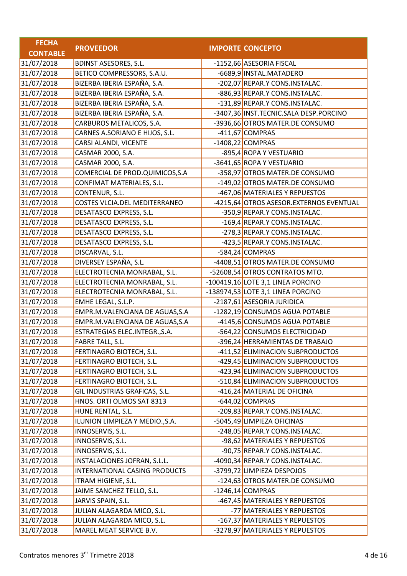| <b>FECHA</b>    |                                 |                                         |
|-----------------|---------------------------------|-----------------------------------------|
| <b>CONTABLE</b> | <b>PROVEEDOR</b>                | <b>IMPORTE CONCEPTO</b>                 |
| 31/07/2018      | <b>BDINST ASESORES, S.L.</b>    | -1152,66 ASESORIA FISCAL                |
| 31/07/2018      | BETICO COMPRESSORS, S.A.U.      | -6689,9 INSTAL.MATADERO                 |
| 31/07/2018      | BIZERBA IBERIA ESPAÑA, S.A.     | -202,07 REPAR.Y CONS.INSTALAC.          |
| 31/07/2018      | BIZERBA IBERIA ESPAÑA, S.A.     | -886,93 REPAR.Y CONS.INSTALAC.          |
| 31/07/2018      | BIZERBA IBERIA ESPAÑA, S.A.     | -131,89 REPAR.Y CONS.INSTALAC.          |
| 31/07/2018      | BIZERBA IBERIA ESPAÑA, S.A.     | -3407,36 INST.TECNIC.SALA DESP.PORCINO  |
| 31/07/2018      | CARBUROS METALICOS, S.A.        | -3936,66 OTROS MATER.DE CONSUMO         |
| 31/07/2018      | CARNES A.SORIANO E HIJOS, S.L.  | -411,67 COMPRAS                         |
| 31/07/2018      | CARSI ALANDI, VICENTE           | $-1408,22$ COMPRAS                      |
| 31/07/2018      | CASMAR 2000, S.A.               | -895,4 ROPA Y VESTUARIO                 |
| 31/07/2018      | CASMAR 2000, S.A.               | -3641,65 ROPA Y VESTUARIO               |
| 31/07/2018      | COMERCIAL DE PROD.QUIMICOS,S.A  | -358,97 OTROS MATER.DE CONSUMO          |
| 31/07/2018      | CONFIMAT MATERIALES, S.L.       | -149,02 OTROS MATER.DE CONSUMO          |
| 31/07/2018      | CONTENUR, S.L.                  | -467,06 MATERIALES Y REPUESTOS          |
| 31/07/2018      | COSTES VLCIA.DEL MEDITERRANEO   | -4215,64 OTROS ASESOR.EXTERNOS EVENTUAL |
| 31/07/2018      | DESATASCO EXPRESS, S.L.         | -350,9 REPAR.Y CONS.INSTALAC.           |
| 31/07/2018      | DESATASCO EXPRESS, S.L.         | -169,4 REPAR.Y CONS.INSTALAC.           |
| 31/07/2018      | DESATASCO EXPRESS, S.L.         | -278,3 REPAR.Y CONS.INSTALAC.           |
| 31/07/2018      | DESATASCO EXPRESS, S.L.         | -423,5 REPAR.Y CONS.INSTALAC.           |
| 31/07/2018      | DISCARVAL, S.L.                 | -584,24 COMPRAS                         |
| 31/07/2018      | DIVERSEY ESPAÑA, S.L.           | -4408,51 OTROS MATER.DE CONSUMO         |
| 31/07/2018      | ELECTROTECNIA MONRABAL, S.L.    | -52608,54 OTROS CONTRATOS MTO.          |
| 31/07/2018      | ELECTROTECNIA MONRABAL, S.L.    | $-100419,16$ LOTE 3,1 LINEA PORCINO     |
| 31/07/2018      | ELECTROTECNIA MONRABAL, S.L.    | -138974,53 LOTE 3,1 LINEA PORCINO       |
| 31/07/2018      | EMHE LEGAL, S.L.P.              | -2187,61 ASESORIA JURIDICA              |
| 31/07/2018      | EMPR.M.VALENCIANA DE AGUAS, S.A | -1282,19 CONSUMOS AGUA POTABLE          |
| 31/07/2018      | EMPR.M.VALENCIANA DE AGUAS, S.A | -4145,6 CONSUMOS AGUA POTABLE           |
| 31/07/2018      | ESTRATEGIAS ELEC.INTEGR., S.A.  | -564,22 CONSUMOS ELECTRICIDAD           |
| 31/07/2018      | <b>FABRE TALL, S.L.</b>         | -396,24 HERRAMIENTAS DE TRABAJO         |
| 31/07/2018      | FERTINAGRO BIOTECH, S.L.        | -411,52 ELIMINACION SUBPRODUCTOS        |
| 31/07/2018      | FERTINAGRO BIOTECH, S.L.        | -429,45 ELIMINACION SUBPRODUCTOS        |
| 31/07/2018      | FERTINAGRO BIOTECH, S.L.        | -423,94 ELIMINACION SUBPRODUCTOS        |
| 31/07/2018      | FERTINAGRO BIOTECH, S.L.        | -510,84 ELIMINACION SUBPRODUCTOS        |
| 31/07/2018      | GIL INDUSTRIAS GRAFICAS, S.L.   | -416,24 MATERIAL DE OFICINA             |
| 31/07/2018      | HNOS. ORTI OLMOS SAT 8313       | -644,02 COMPRAS                         |
| 31/07/2018      | HUNE RENTAL, S.L.               | -209,83 REPAR.Y CONS.INSTALAC.          |
| 31/07/2018      | ILUNION LIMPIEZA Y MEDIO., S.A. | -5045,49 LIMPIEZA OFICINAS              |
| 31/07/2018      | INNOSERVIS, S.L.                | -248,05 REPAR.Y CONS.INSTALAC.          |
| 31/07/2018      | INNOSERVIS, S.L.                | -98,62 MATERIALES Y REPUESTOS           |
| 31/07/2018      | INNOSERVIS, S.L.                | -90,75 REPAR.Y CONS.INSTALAC.           |
| 31/07/2018      | INSTALACIONES JOFRAN, S.L.L.    | -4090,34 REPAR.Y CONS.INSTALAC.         |
| 31/07/2018      | INTERNATIONAL CASING PRODUCTS   | -3799,72 LIMPIEZA DESPOJOS              |
| 31/07/2018      | ITRAM HIGIENE, S.L.             | -124,63 OTROS MATER.DE CONSUMO          |
| 31/07/2018      | JAIME SANCHEZ TELLO, S.L.       | $-1246,14$ COMPRAS                      |
| 31/07/2018      | JARVIS SPAIN, S.L.              | -467,45 MATERIALES Y REPUESTOS          |
| 31/07/2018      | JULIAN ALAGARDA MICO, S.L.      | -77 MATERIALES Y REPUESTOS              |
| 31/07/2018      | JULIAN ALAGARDA MICO, S.L.      | -167,37 MATERIALES Y REPUESTOS          |
| 31/07/2018      | MAREL MEAT SERVICE B.V.         | -3278,97 MATERIALES Y REPUESTOS         |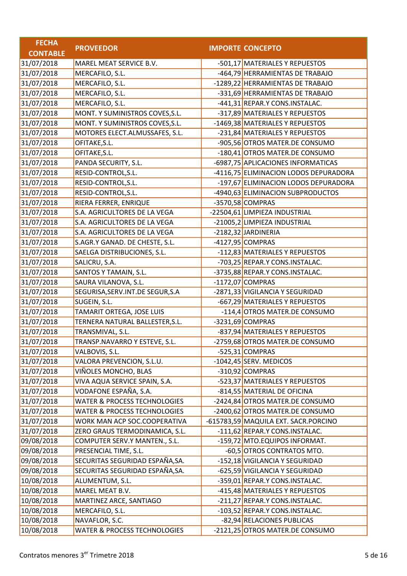| <b>FECHA</b>    |                                         |                                       |
|-----------------|-----------------------------------------|---------------------------------------|
| <b>CONTABLE</b> | <b>PROVEEDOR</b>                        | <b>IMPORTE CONCEPTO</b>               |
| 31/07/2018      | MAREL MEAT SERVICE B.V.                 | -501,17 MATERIALES Y REPUESTOS        |
| 31/07/2018      | MERCAFILO, S.L.                         | -464,79 HERRAMIENTAS DE TRABAJO       |
| 31/07/2018      | MERCAFILO, S.L.                         | -1289,22 HERRAMIENTAS DE TRABAJO      |
| 31/07/2018      | MERCAFILO, S.L.                         | -331,69 HERRAMIENTAS DE TRABAJO       |
| 31/07/2018      | MERCAFILO, S.L.                         | -441,31 REPAR.Y CONS.INSTALAC.        |
| 31/07/2018      | MONT. Y SUMINISTROS COVES, S.L.         | -317,89 MATERIALES Y REPUESTOS        |
| 31/07/2018      | MONT. Y SUMINISTROS COVES, S.L.         | -1469,38 MATERIALES Y REPUESTOS       |
| 31/07/2018      | MOTORES ELECT.ALMUSSAFES, S.L.          | -231,84 MATERIALES Y REPUESTOS        |
| 31/07/2018      | OFITAKE, S.L.                           | -905,56 OTROS MATER.DE CONSUMO        |
| 31/07/2018      | OFITAKE, S.L.                           | -180,41 OTROS MATER.DE CONSUMO        |
| 31/07/2018      | PANDA SECURITY, S.L.                    | -6987,75 APLICACIONES INFORMATICAS    |
| 31/07/2018      | RESID-CONTROL, S.L.                     | -4116,75 ELIMINACION LODOS DEPURADORA |
| 31/07/2018      | RESID-CONTROL, S.L.                     | -197,67 ELIMINACION LODOS DEPURADORA  |
| 31/07/2018      | RESID-CONTROL, S.L.                     | -4940,63 ELIMINACION SUBPRODUCTOS     |
| 31/07/2018      | RIERA FERRER, ENRIQUE                   | -3570,58 COMPRAS                      |
| 31/07/2018      | S.A. AGRICULTORES DE LA VEGA            | -22504,61 LIMPIEZA INDUSTRIAL         |
| 31/07/2018      | S.A. AGRICULTORES DE LA VEGA            | -21005,2 LIMPIEZA INDUSTRIAL          |
| 31/07/2018      | S.A. AGRICULTORES DE LA VEGA            | -2182,32 JARDINERIA                   |
| 31/07/2018      | S.AGR.Y GANAD. DE CHESTE, S.L.          | $-4127,95$ COMPRAS                    |
| 31/07/2018      | SAELGA DISTRIBUCIONES, S.L.             | -112,83 MATERIALES Y REPUESTOS        |
| 31/07/2018      | SALICRU, S.A.                           | -703,25 REPAR.Y CONS.INSTALAC.        |
| 31/07/2018      | SANTOS Y TAMAIN, S.L.                   | -3735,88 REPAR.Y CONS.INSTALAC.       |
| 31/07/2018      | SAURA VILANOVA, S.L.                    | $-1172,07$ COMPRAS                    |
| 31/07/2018      | SEGURISA, SERV. INT. DE SEGUR, S.A      | -2871,33 VIGILANCIA Y SEGURIDAD       |
| 31/07/2018      | SUGEIN, S.L.                            | -667,29 MATERIALES Y REPUESTOS        |
| 31/07/2018      | TAMARIT ORTEGA, JOSE LUIS               | -114,4 OTROS MATER.DE CONSUMO         |
| 31/07/2018      | TERNERA NATURAL BALLESTER, S.L.         | $-3231,69$ COMPRAS                    |
| 31/07/2018      | TRANSMIVAL, S.L.                        | -837,94 MATERIALES Y REPUESTOS        |
| 31/07/2018      | TRANSP.NAVARRO Y ESTEVE, S.L.           | -2759,68 OTROS MATER.DE CONSUMO       |
| 31/07/2018      | VALBOVIS, S.L.                          | -525,31 COMPRAS                       |
| 31/07/2018      | VALORA PREVENCION, S.L.U.               | -1042,45 SERV. MEDICOS                |
| 31/07/2018      | VIÑOLES MONCHO, BLAS                    | -310,92 COMPRAS                       |
| 31/07/2018      | VIVA AQUA SERVICE SPAIN, S.A.           | -523,37 MATERIALES Y REPUESTOS        |
| 31/07/2018      | VODAFONE ESPAÑA, S.A.                   | -814,55 MATERIAL DE OFICINA           |
| 31/07/2018      | <b>WATER &amp; PROCESS TECHNOLOGIES</b> | -2424,84 OTROS MATER.DE CONSUMO       |
| 31/07/2018      | <b>WATER &amp; PROCESS TECHNOLOGIES</b> | -2400,62 OTROS MATER.DE CONSUMO       |
| 31/07/2018      | WORK MAN ACP SOC.COOPERATIVA            | -615783,59 MAQUILA EXT. SACR.PORCINO  |
| 31/07/2018      | ZERO GRAUS TERMODINAMICA, S.L.          | -111,62 REPAR.Y CONS.INSTALAC.        |
| 09/08/2018      | COMPUTER SERV.Y MANTEN., S.L.           | -159,72 MTO.EQUIPOS INFORMAT.         |
| 09/08/2018      | PRESENCIAL TIME, S.L.                   | -60,5 OTROS CONTRATOS MTO.            |
| 09/08/2018      | SECURITAS SEGURIDAD ESPAÑA, SA.         | -152,18 VIGILANCIA Y SEGURIDAD        |
| 09/08/2018      | SECURITAS SEGURIDAD ESPAÑA, SA.         | -625,59 VIGILANCIA Y SEGURIDAD        |
| 10/08/2018      | ALUMENTUM, S.L.                         | -359,01 REPAR.Y CONS.INSTALAC.        |
| 10/08/2018      | MAREL MEAT B.V.                         | -415,48 MATERIALES Y REPUESTOS        |
| 10/08/2018      | MARTINEZ ARCE, SANTIAGO                 | -211,27 REPAR.Y CONS.INSTALAC.        |
| 10/08/2018      | MERCAFILO, S.L.                         | -103,52 REPAR.Y CONS.INSTALAC.        |
| 10/08/2018      | NAVAFLOR, S.C.                          | -82,94 RELACIONES PUBLICAS            |
| 10/08/2018      | <b>WATER &amp; PROCESS TECHNOLOGIES</b> | -2121,25 OTROS MATER.DE CONSUMO       |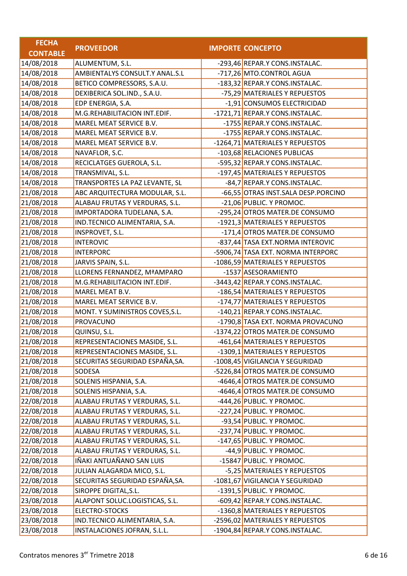| <b>FECHA</b>    |                                 |                                     |
|-----------------|---------------------------------|-------------------------------------|
| <b>CONTABLE</b> | <b>PROVEEDOR</b>                | <b>IMPORTE CONCEPTO</b>             |
| 14/08/2018      | ALUMENTUM, S.L.                 | -293,46 REPAR.Y CONS.INSTALAC.      |
| 14/08/2018      | AMBIENTALYS CONSULT.Y ANAL.S.L  | -717,26 MTO.CONTROL AGUA            |
| 14/08/2018      | BETICO COMPRESSORS, S.A.U.      | -183,32 REPAR.Y CONS.INSTALAC.      |
| 14/08/2018      | DEXIBERICA SOL.IND., S.A.U.     | -75,29 MATERIALES Y REPUESTOS       |
| 14/08/2018      | EDP ENERGIA, S.A.               | -1,91 CONSUMOS ELECTRICIDAD         |
| 14/08/2018      | M.G.REHABILITACION INT.EDIF.    | -1721,71 REPAR.Y CONS.INSTALAC.     |
| 14/08/2018      | MAREL MEAT SERVICE B.V.         | -1755 REPAR.Y CONS.INSTALAC.        |
| 14/08/2018      | MAREL MEAT SERVICE B.V.         | -1755 REPAR.Y CONS.INSTALAC.        |
| 14/08/2018      | MAREL MEAT SERVICE B.V.         | -1264,71 MATERIALES Y REPUESTOS     |
| 14/08/2018      | NAVAFLOR, S.C.                  | -103,68 RELACIONES PUBLICAS         |
| 14/08/2018      | RECICLATGES GUEROLA, S.L.       | -595,32 REPAR.Y CONS.INSTALAC.      |
| 14/08/2018      | TRANSMIVAL, S.L.                | -197,45 MATERIALES Y REPUESTOS      |
| 14/08/2018      | TRANSPORTES LA PAZ LEVANTE, SL  | -84,7 REPAR.Y CONS.INSTALAC.        |
| 21/08/2018      | ABC ARQUITECTURA MODULAR, S.L.  | -66,55 OTRAS INST.SALA DESP.PORCINO |
| 21/08/2018      | ALABAU FRUTAS Y VERDURAS, S.L.  | -21,06 PUBLIC. Y PROMOC.            |
| 21/08/2018      | IMPORTADORA TUDELANA, S.A.      | -295,24 OTROS MATER.DE CONSUMO      |
| 21/08/2018      | IND.TECNICO ALIMENTARIA, S.A.   | -1921,3 MATERIALES Y REPUESTOS      |
| 21/08/2018      | INSPROVET, S.L.                 | -171,4 OTROS MATER.DE CONSUMO       |
| 21/08/2018      | <b>INTEROVIC</b>                | -837,44 TASA EXT.NORMA INTEROVIC    |
| 21/08/2018      | <b>INTERPORC</b>                | -5906,74 TASA EXT. NORMA INTERPORC  |
| 21/08/2018      | JARVIS SPAIN, S.L.              | -1086,59 MATERIALES Y REPUESTOS     |
| 21/08/2018      | LLORENS FERNANDEZ, MªAMPARO     | -1537 ASESORAMIENTO                 |
| 21/08/2018      | M.G.REHABILITACION INT.EDIF.    | -3443,42 REPAR.Y CONS.INSTALAC.     |
| 21/08/2018      | MAREL MEAT B.V.                 | -186,54 MATERIALES Y REPUESTOS      |
| 21/08/2018      | MAREL MEAT SERVICE B.V.         | -174,77 MATERIALES Y REPUESTOS      |
| 21/08/2018      | MONT. Y SUMINISTROS COVES, S.L. | -140,21 REPAR.Y CONS.INSTALAC.      |
| 21/08/2018      | <b>PROVACUNO</b>                | -1790,8 TASA EXT. NORMA PROVACUNO   |
| 21/08/2018      | QUINSU, S.L.                    | -1374,22 OTROS MATER.DE CONSUMO     |
| 21/08/2018      | REPRESENTACIONES MASIDE, S.L.   | -461,64 MATERIALES Y REPUESTOS      |
| 21/08/2018      | REPRESENTACIONES MASIDE, S.L.   | -1309,1 MATERIALES Y REPUESTOS      |
| 21/08/2018      | SECURITAS SEGURIDAD ESPAÑA, SA. | -1008,45 VIGILANCIA Y SEGURIDAD     |
| 21/08/2018      | SODESA                          | -5226,84 OTROS MATER.DE CONSUMO     |
| 21/08/2018      | SOLENIS HISPANIA, S.A.          | -4646,4 OTROS MATER.DE CONSUMO      |
| 21/08/2018      | SOLENIS HISPANIA, S.A.          | -4646,4 OTROS MATER.DE CONSUMO      |
| 22/08/2018      | ALABAU FRUTAS Y VERDURAS, S.L.  | $-444,26$ PUBLIC. Y PROMOC.         |
| 22/08/2018      | ALABAU FRUTAS Y VERDURAS, S.L.  | -227,24 PUBLIC. Y PROMOC.           |
| 22/08/2018      | ALABAU FRUTAS Y VERDURAS, S.L.  | -93,54 PUBLIC. Y PROMOC.            |
| 22/08/2018      | ALABAU FRUTAS Y VERDURAS, S.L.  | -237,74 PUBLIC. Y PROMOC.           |
| 22/08/2018      | ALABAU FRUTAS Y VERDURAS, S.L.  | -147,65 PUBLIC. Y PROMOC.           |
| 22/08/2018      | ALABAU FRUTAS Y VERDURAS, S.L.  | $-44,9$ PUBLIC. Y PROMOC.           |
| 22/08/2018      | IÑAKI ANTUAÑANO SAN LUIS        | -15847 PUBLIC. Y PROMOC.            |
| 22/08/2018      | JULIAN ALAGARDA MICO, S.L.      | -5,25 MATERIALES Y REPUESTOS        |
| 22/08/2018      | SECURITAS SEGURIDAD ESPAÑA, SA. | -1081,67 VIGILANCIA Y SEGURIDAD     |
| 22/08/2018      | SIROPPE DIGITAL, S.L.           | -1391,5 PUBLIC. Y PROMOC.           |
| 23/08/2018      | ALAPONT SOLUC.LOGISTICAS, S.L.  | -609,42 REPAR.Y CONS.INSTALAC.      |
| 23/08/2018      | <b>ELECTRO-STOCKS</b>           | -1360,8 MATERIALES Y REPUESTOS      |
| 23/08/2018      | IND.TECNICO ALIMENTARIA, S.A.   | -2596,02 MATERIALES Y REPUESTOS     |
| 23/08/2018      | INSTALACIONES JOFRAN, S.L.L.    | -1904,84 REPAR.Y CONS.INSTALAC.     |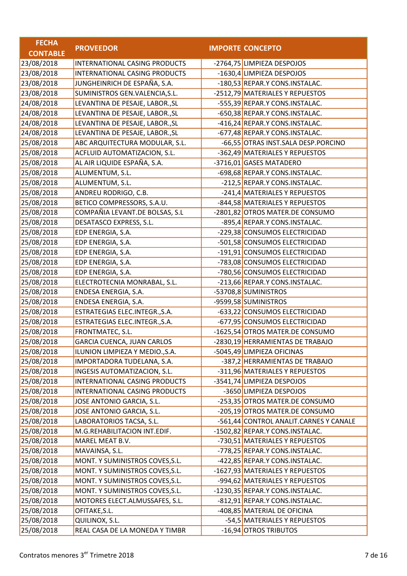| <b>FECHA</b>    |                                 |                                        |
|-----------------|---------------------------------|----------------------------------------|
| <b>CONTABLE</b> | <b>PROVEEDOR</b>                | <b>IMPORTE CONCEPTO</b>                |
| 23/08/2018      | INTERNATIONAL CASING PRODUCTS   | -2764,75 LIMPIEZA DESPOJOS             |
| 23/08/2018      | INTERNATIONAL CASING PRODUCTS   | -1630,4 LIMPIEZA DESPOJOS              |
| 23/08/2018      | JUNGHEINRICH DE ESPAÑA, S.A.    | -180,53 REPAR.Y CONS.INSTALAC.         |
| 23/08/2018      | SUMINISTROS GEN.VALENCIA, S.L.  | -2512,79 MATERIALES Y REPUESTOS        |
| 24/08/2018      | LEVANTINA DE PESAJE, LABOR., SL | -555,39 REPAR.Y CONS.INSTALAC.         |
| 24/08/2018      | LEVANTINA DE PESAJE, LABOR., SL | -650,38 REPAR.Y CONS.INSTALAC.         |
| 24/08/2018      | LEVANTINA DE PESAJE, LABOR., SL | -416,24 REPAR.Y CONS.INSTALAC.         |
| 24/08/2018      | LEVANTINA DE PESAJE, LABOR., SL | -677,48 REPAR.Y CONS.INSTALAC.         |
| 25/08/2018      | ABC ARQUITECTURA MODULAR, S.L.  | -66,55 OTRAS INST.SALA DESP.PORCINO    |
| 25/08/2018      | ACFLUID AUTOMATIZACION, S.L.    | -362,49 MATERIALES Y REPUESTOS         |
| 25/08/2018      | AL AIR LIQUIDE ESPAÑA, S.A.     | -3716,01 GASES MATADERO                |
| 25/08/2018      | ALUMENTUM, S.L.                 | -698,68 REPAR.Y CONS.INSTALAC.         |
| 25/08/2018      | ALUMENTUM, S.L.                 | -212,5 REPAR.Y CONS.INSTALAC.          |
| 25/08/2018      | ANDREU RODRIGO, C.B.            | -241,4 MATERIALES Y REPUESTOS          |
| 25/08/2018      | BETICO COMPRESSORS, S.A.U.      | -844,58 MATERIALES Y REPUESTOS         |
| 25/08/2018      | COMPAÑIA LEVANT.DE BOLSAS, S.L  | -2801,82 OTROS MATER.DE CONSUMO        |
| 25/08/2018      | DESATASCO EXPRESS, S.L.         | -895,4 REPAR.Y CONS.INSTALAC.          |
| 25/08/2018      | EDP ENERGIA, S.A.               | -229,38 CONSUMOS ELECTRICIDAD          |
| 25/08/2018      | EDP ENERGIA, S.A.               | -501,58 CONSUMOS ELECTRICIDAD          |
| 25/08/2018      | EDP ENERGIA, S.A.               | -191,91 CONSUMOS ELECTRICIDAD          |
| 25/08/2018      | EDP ENERGIA, S.A.               | -783,08 CONSUMOS ELECTRICIDAD          |
| 25/08/2018      | EDP ENERGIA, S.A.               | -780,56 CONSUMOS ELECTRICIDAD          |
| 25/08/2018      | ELECTROTECNIA MONRABAL, S.L.    | -213,66 REPAR.Y CONS.INSTALAC.         |
| 25/08/2018      | ENDESA ENERGIA, S.A.            | -53708,8 SUMINISTROS                   |
| 25/08/2018      | ENDESA ENERGIA, S.A.            | -9599,58 SUMINISTROS                   |
| 25/08/2018      | ESTRATEGIAS ELEC.INTEGR., S.A.  | -633,22 CONSUMOS ELECTRICIDAD          |
| 25/08/2018      | ESTRATEGIAS ELEC.INTEGR., S.A.  | -677,95 CONSUMOS ELECTRICIDAD          |
| 25/08/2018      | FRONTMATEC, S.L.                | -1625,54 OTROS MATER.DE CONSUMO        |
| 25/08/2018      | GARCIA CUENCA, JUAN CARLOS      | -2830,19 HERRAMIENTAS DE TRABAJO       |
| 25/08/2018      | ILUNION LIMPIEZA Y MEDIO., S.A. | -5045,49 LIMPIEZA OFICINAS             |
| 25/08/2018      | IMPORTADORA TUDELANA, S.A.      | -387,2 HERRAMIENTAS DE TRABAJO         |
| 25/08/2018      | INGESIS AUTOMATIZACION, S.L.    | -311,96 MATERIALES Y REPUESTOS         |
| 25/08/2018      | INTERNATIONAL CASING PRODUCTS   | -3541,74 LIMPIEZA DESPOJOS             |
| 25/08/2018      | INTERNATIONAL CASING PRODUCTS   | -3650 LIMPIEZA DESPOJOS                |
| 25/08/2018      | JOSE ANTONIO GARCIA, S.L.       | -253,35 OTROS MATER.DE CONSUMO         |
| 25/08/2018      | JOSE ANTONIO GARCIA, S.L.       | -205,19 OTROS MATER.DE CONSUMO         |
| 25/08/2018      | LABORATORIOS TACSA, S.L.        | -561,44 CONTROL ANALIT.CARNES Y CANALE |
| 25/08/2018      | M.G.REHABILITACION INT.EDIF.    | -1502,82 REPAR.Y CONS.INSTALAC.        |
| 25/08/2018      | MAREL MEAT B.V.                 | -730,51 MATERIALES Y REPUESTOS         |
| 25/08/2018      | MAVAINSA, S.L.                  | -778,25 REPAR.Y CONS.INSTALAC.         |
| 25/08/2018      | MONT. Y SUMINISTROS COVES, S.L. | -422,85 REPAR.Y CONS.INSTALAC.         |
| 25/08/2018      | MONT. Y SUMINISTROS COVES, S.L. | -1627,93 MATERIALES Y REPUESTOS        |
| 25/08/2018      | MONT. Y SUMINISTROS COVES, S.L. | -994,62 MATERIALES Y REPUESTOS         |
| 25/08/2018      | MONT. Y SUMINISTROS COVES, S.L. | -1230,35 REPAR.Y CONS.INSTALAC.        |
| 25/08/2018      | MOTORES ELECT.ALMUSSAFES, S.L.  | -812,91 REPAR.Y CONS.INSTALAC.         |
| 25/08/2018      | OFITAKE, S.L.                   | -408,85 MATERIAL DE OFICINA            |
| 25/08/2018      | QUILINOX, S.L.                  | -54,5 MATERIALES Y REPUESTOS           |
| 25/08/2018      | REAL CASA DE LA MONEDA Y TIMBR  | -16,94 OTROS TRIBUTOS                  |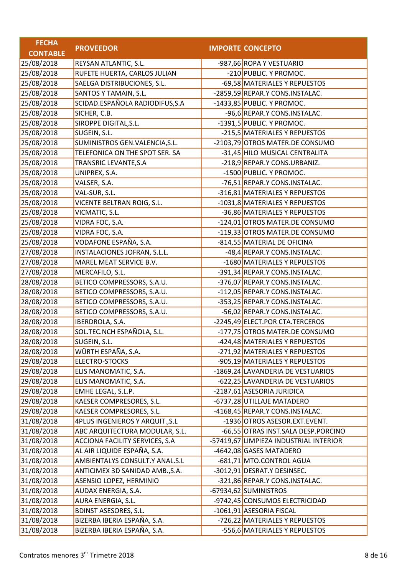| <b>FECHA</b>    |                                        |                                        |
|-----------------|----------------------------------------|----------------------------------------|
| <b>CONTABLE</b> | <b>PROVEEDOR</b>                       | <b>IMPORTE CONCEPTO</b>                |
| 25/08/2018      | REYSAN ATLANTIC, S.L.                  | -987,66 ROPA Y VESTUARIO               |
| 25/08/2018      | RUFETE HUERTA, CARLOS JULIAN           | -210 PUBLIC. Y PROMOC.                 |
| 25/08/2018      | SAELGA DISTRIBUCIONES, S.L.            | -69,58 MATERIALES Y REPUESTOS          |
| 25/08/2018      | SANTOS Y TAMAIN, S.L.                  | -2859,59 REPAR.Y CONS.INSTALAC.        |
| 25/08/2018      | SCIDAD.ESPAÑOLA RADIODIFUS, S.A        | -1433,85 PUBLIC. Y PROMOC.             |
| 25/08/2018      | SICHER, C.B.                           | -96,6 REPAR.Y CONS.INSTALAC.           |
| 25/08/2018      | SIROPPE DIGITAL, S.L.                  | -1391,5 PUBLIC. Y PROMOC.              |
| 25/08/2018      | SUGEIN, S.L.                           | -215,5 MATERIALES Y REPUESTOS          |
| 25/08/2018      | SUMINISTROS GEN.VALENCIA, S.L.         | -2103,79 OTROS MATER.DE CONSUMO        |
| 25/08/2018      | TELEFONICA ON THE SPOT SER. SA         | -31,45 HILO MUSICAL CENTRALITA         |
| 25/08/2018      | TRANSRIC LEVANTE, S.A                  | -218,9 REPAR.Y CONS.URBANIZ.           |
| 25/08/2018      | UNIPREX, S.A.                          | -1500 PUBLIC. Y PROMOC.                |
| 25/08/2018      | VALSER, S.A.                           | -76,51 REPAR.Y CONS.INSTALAC.          |
| 25/08/2018      | VAL-SUR, S.L.                          | -316,81 MATERIALES Y REPUESTOS         |
| 25/08/2018      | VICENTE BELTRAN ROIG, S.L.             | -1031,8 MATERIALES Y REPUESTOS         |
| 25/08/2018      | VICMATIC, S.L.                         | -36,86 MATERIALES Y REPUESTOS          |
| 25/08/2018      | VIDRA FOC, S.A.                        | -124,01 OTROS MATER.DE CONSUMO         |
| 25/08/2018      | VIDRA FOC, S.A.                        | -119,33 OTROS MATER.DE CONSUMO         |
| 25/08/2018      | VODAFONE ESPAÑA, S.A.                  | -814,55 MATERIAL DE OFICINA            |
| 27/08/2018      | INSTALACIONES JOFRAN, S.L.L.           | -48,4 REPAR.Y CONS.INSTALAC.           |
| 27/08/2018      | MAREL MEAT SERVICE B.V.                | -1680 MATERIALES Y REPUESTOS           |
| 27/08/2018      | MERCAFILO, S.L.                        | -391,34 REPAR.Y CONS.INSTALAC.         |
| 28/08/2018      | BETICO COMPRESSORS, S.A.U.             | -376,07 REPAR.Y CONS.INSTALAC.         |
| 28/08/2018      | BETICO COMPRESSORS, S.A.U.             | -112,05 REPAR.Y CONS.INSTALAC.         |
| 28/08/2018      | BETICO COMPRESSORS, S.A.U.             | -353,25 REPAR.Y CONS.INSTALAC.         |
| 28/08/2018      | BETICO COMPRESSORS, S.A.U.             | -56,02 REPAR.Y CONS.INSTALAC.          |
| 28/08/2018      | IBERDROLA, S.A.                        | -2245,49 ELECT.POR CTA.TERCEROS        |
| 28/08/2018      | SOL.TEC.NCH ESPAÑOLA, S.L.             | -177,75 OTROS MATER.DE CONSUMO         |
| 28/08/2018      | SUGEIN, S.L.                           | -424,48 MATERIALES Y REPUESTOS         |
| 28/08/2018      | WÜRTH ESPAÑA, S.A.                     | -271,92 MATERIALES Y REPUESTOS         |
| 29/08/2018      | <b>ELECTRO-STOCKS</b>                  | -905,19 MATERIALES Y REPUESTOS         |
| 29/08/2018      | ELIS MANOMATIC, S.A.                   | -1869,24 LAVANDERIA DE VESTUARIOS      |
| 29/08/2018      | ELIS MANOMATIC, S.A.                   | -622,25 LAVANDERIA DE VESTUARIOS       |
| 29/08/2018      | EMHE LEGAL, S.L.P.                     | -2187,61 ASESORIA JURIDICA             |
| 29/08/2018      | KAESER COMPRESORES, S.L.               | -6737,28 UTILLAJE MATADERO             |
| 29/08/2018      | KAESER COMPRESORES, S.L.               | -4168,45 REPAR.Y CONS.INSTALAC.        |
| 31/08/2018      | <b>4PLUS INGENIEROS Y ARQUIT., S.L</b> | -1936 OTROS ASESOR.EXT.EVENT.          |
| 31/08/2018      | ABC ARQUITECTURA MODULAR, S.L.         | -66,55 OTRAS INST.SALA DESP.PORCINO    |
| 31/08/2018      | ACCIONA FACILITY SERVICES, S.A         | -57419,67 LIMPIEZA INDUSTRIAL INTERIOR |
| 31/08/2018      | AL AIR LIQUIDE ESPAÑA, S.A.            | -4642,08 GASES MATADERO                |
| 31/08/2018      | AMBIENTALYS CONSULT.Y ANAL.S.L         | -681,71 MTO.CONTROL AGUA               |
| 31/08/2018      | ANTICIMEX 3D SANIDAD AMB., S.A.        | -3012,91 DESRAT.Y DESINSEC.            |
| 31/08/2018      | ASENSIO LOPEZ, HERMINIO                | -321,86 REPAR.Y CONS.INSTALAC.         |
| 31/08/2018      | AUDAX ENERGIA, S.A.                    | -67934,62 SUMINISTROS                  |
| 31/08/2018      | AURA ENERGIA, S.L.                     | -9742,45 CONSUMOS ELECTRICIDAD         |
| 31/08/2018      | <b>BDINST ASESORES, S.L.</b>           | -1061,91 ASESORIA FISCAL               |
| 31/08/2018      | BIZERBA IBERIA ESPAÑA, S.A.            | -726,22 MATERIALES Y REPUESTOS         |
| 31/08/2018      | BIZERBA IBERIA ESPAÑA, S.A.            | -556,6 MATERIALES Y REPUESTOS          |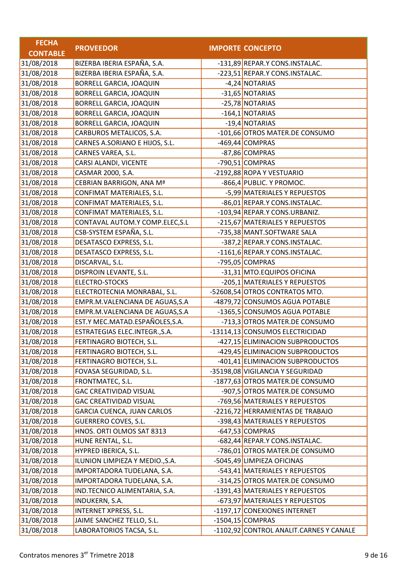| <b>FECHA</b>    |                                   |                                         |
|-----------------|-----------------------------------|-----------------------------------------|
| <b>CONTABLE</b> | <b>PROVEEDOR</b>                  | <b>IMPORTE CONCEPTO</b>                 |
| 31/08/2018      | BIZERBA IBERIA ESPAÑA, S.A.       | -131,89 REPAR.Y CONS.INSTALAC.          |
| 31/08/2018      | BIZERBA IBERIA ESPAÑA, S.A.       | -223,51 REPAR.Y CONS.INSTALAC.          |
| 31/08/2018      | BORRELL GARCIA, JOAQUIN           | -4,24 NOTARIAS                          |
| 31/08/2018      | <b>BORRELL GARCIA, JOAQUIN</b>    | -31,65 NOTARIAS                         |
| 31/08/2018      | BORRELL GARCIA, JOAQUIN           | -25,78 NOTARIAS                         |
| 31/08/2018      | BORRELL GARCIA, JOAQUIN           | -164,1 NOTARIAS                         |
| 31/08/2018      | <b>BORRELL GARCIA, JOAQUIN</b>    | -19,4 NOTARIAS                          |
| 31/08/2018      | CARBUROS METALICOS, S.A.          | -101,66 OTROS MATER.DE CONSUMO          |
| 31/08/2018      | CARNES A.SORIANO E HIJOS, S.L.    | -469,44 COMPRAS                         |
| 31/08/2018      | CARNES VAREA, S.L.                | -87,86 COMPRAS                          |
| 31/08/2018      | CARSI ALANDI, VICENTE             | -790,51 COMPRAS                         |
| 31/08/2018      | CASMAR 2000, S.A.                 | -2192,88 ROPA Y VESTUARIO               |
| 31/08/2018      | CEBRIAN BARRIGON, ANA Mª          | -866,4 PUBLIC. Y PROMOC.                |
| 31/08/2018      | CONFIMAT MATERIALES, S.L.         | -5,99 MATERIALES Y REPUESTOS            |
| 31/08/2018      | CONFIMAT MATERIALES, S.L.         | -86,01 REPAR.Y CONS.INSTALAC.           |
| 31/08/2018      | CONFIMAT MATERIALES, S.L.         | -103,94 REPAR.Y CONS.URBANIZ.           |
| 31/08/2018      | CONTAVAL AUTOM.Y COMP.ELEC, S.L   | -215,67 MATERIALES Y REPUESTOS          |
| 31/08/2018      | CSB-SYSTEM ESPAÑA, S.L.           | -735,38 MANT.SOFTWARE SALA              |
| 31/08/2018      | DESATASCO EXPRESS, S.L.           | -387,2 REPAR.Y CONS.INSTALAC.           |
| 31/08/2018      | DESATASCO EXPRESS, S.L.           | -1161,6 REPAR.Y CONS.INSTALAC.          |
| 31/08/2018      | DISCARVAL, S.L.                   | -795,05 COMPRAS                         |
| 31/08/2018      | DISPROIN LEVANTE, S.L.            | -31,31 MTO.EQUIPOS OFICINA              |
| 31/08/2018      | ELECTRO-STOCKS                    | -205,1 MATERIALES Y REPUESTOS           |
| 31/08/2018      | ELECTROTECNIA MONRABAL, S.L.      | -52608,54 OTROS CONTRATOS MTO.          |
| 31/08/2018      | EMPR.M.VALENCIANA DE AGUAS, S.A   | -4879,72 CONSUMOS AGUA POTABLE          |
| 31/08/2018      | EMPR.M.VALENCIANA DE AGUAS, S.A   | -1365,5 CONSUMOS AGUA POTABLE           |
| 31/08/2018      | EST.Y MEC.MATAD.ESPAÑOLES,S.A.    | -713,3 OTROS MATER.DE CONSUMO           |
| 31/08/2018      | ESTRATEGIAS ELEC.INTEGR., S.A.    | -13114,13 CONSUMOS ELECTRICIDAD         |
| 31/08/2018      | FERTINAGRO BIOTECH, S.L.          | -427,15 ELIMINACION SUBPRODUCTOS        |
| 31/08/2018      | FERTINAGRO BIOTECH, S.L.          | -429,45 ELIMINACION SUBPRODUCTOS        |
| 31/08/2018      | FERTINAGRO BIOTECH, S.L.          | -401,41 ELIMINACION SUBPRODUCTOS        |
| 31/08/2018      | FOVASA SEGURIDAD, S.L.            | -35198,08 VIGILANCIA Y SEGURIDAD        |
| 31/08/2018      | FRONTMATEC, S.L.                  | -1877,63 OTROS MATER.DE CONSUMO         |
| 31/08/2018      | <b>GAC CREATIVIDAD VISUAL</b>     | -907,5 OTROS MATER.DE CONSUMO           |
| 31/08/2018      | <b>GAC CREATIVIDAD VISUAL</b>     | -769,56 MATERIALES Y REPUESTOS          |
| 31/08/2018      | <b>GARCIA CUENCA, JUAN CARLOS</b> | -2216,72 HERRAMIENTAS DE TRABAJO        |
| 31/08/2018      | <b>GUERRERO COVES, S.L.</b>       | -398,43 MATERIALES Y REPUESTOS          |
| 31/08/2018      | HNOS. ORTI OLMOS SAT 8313         | -647,53 COMPRAS                         |
| 31/08/2018      | HUNE RENTAL, S.L.                 | -682,44 REPAR.Y CONS.INSTALAC.          |
| 31/08/2018      | HYPRED IBERICA, S.L.              | -786,01 OTROS MATER.DE CONSUMO          |
| 31/08/2018      | ILUNION LIMPIEZA Y MEDIO., S.A.   | -5045,49 LIMPIEZA OFICINAS              |
| 31/08/2018      | IMPORTADORA TUDELANA, S.A.        | -543,41 MATERIALES Y REPUESTOS          |
| 31/08/2018      | IMPORTADORA TUDELANA, S.A.        | -314,25 OTROS MATER.DE CONSUMO          |
| 31/08/2018      | IND.TECNICO ALIMENTARIA, S.A.     | -1391,43 MATERIALES Y REPUESTOS         |
| 31/08/2018      | INDUKERN, S.A.                    | -673,97 MATERIALES Y REPUESTOS          |
| 31/08/2018      | INTERNET XPRESS, S.L.             | -1197,17 CONEXIONES INTERNET            |
| 31/08/2018      | JAIME SANCHEZ TELLO, S.L.         | $-1504,15$ COMPRAS                      |
| 31/08/2018      | LABORATORIOS TACSA, S.L.          | -1102,92 CONTROL ANALIT.CARNES Y CANALE |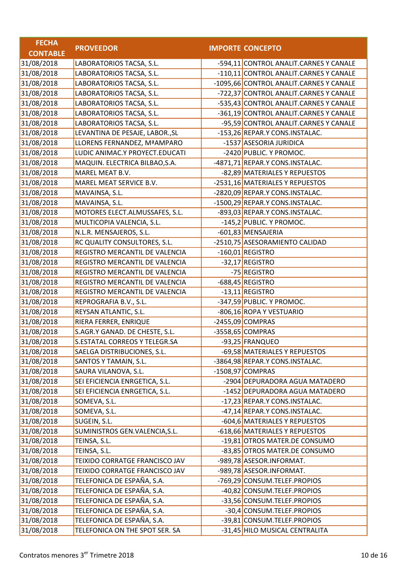| <b>FECHA</b>    |                                 |                                         |
|-----------------|---------------------------------|-----------------------------------------|
| <b>CONTABLE</b> | <b>PROVEEDOR</b>                | <b>IMPORTE CONCEPTO</b>                 |
| 31/08/2018      | LABORATORIOS TACSA, S.L.        | -594,11 CONTROL ANALIT.CARNES Y CANALE  |
| 31/08/2018      | LABORATORIOS TACSA, S.L.        | -110,11 CONTROL ANALIT.CARNES Y CANALE  |
| 31/08/2018      | LABORATORIOS TACSA, S.L.        | -1095,66 CONTROL ANALIT.CARNES Y CANALE |
| 31/08/2018      | LABORATORIOS TACSA, S.L.        | -722,37 CONTROL ANALIT.CARNES Y CANALE  |
| 31/08/2018      | LABORATORIOS TACSA, S.L.        | -535,43 CONTROL ANALIT.CARNES Y CANALE  |
| 31/08/2018      | LABORATORIOS TACSA, S.L.        | -361,19 CONTROL ANALIT.CARNES Y CANALE  |
| 31/08/2018      | LABORATORIOS TACSA, S.L.        | -95,59 CONTROL ANALIT.CARNES Y CANALE   |
| 31/08/2018      | LEVANTINA DE PESAJE, LABOR., SL | -153,26 REPAR.Y CONS.INSTALAC.          |
| 31/08/2018      | LLORENS FERNANDEZ, MªAMPARO     | -1537 ASESORIA JURIDICA                 |
| 31/08/2018      | LUDIC ANIMAC.Y PROYECT.EDUCATI  | -2420 PUBLIC. Y PROMOC.                 |
| 31/08/2018      | MAQUIN. ELECTRICA BILBAO, S.A.  | -4871,71 REPAR.Y CONS.INSTALAC.         |
| 31/08/2018      | MAREL MEAT B.V.                 | -82,89 MATERIALES Y REPUESTOS           |
| 31/08/2018      | MAREL MEAT SERVICE B.V.         | -2531,16 MATERIALES Y REPUESTOS         |
| 31/08/2018      | MAVAINSA, S.L.                  | -2820,09 REPAR.Y CONS.INSTALAC.         |
| 31/08/2018      | MAVAINSA, S.L.                  | -1500,29 REPAR.Y CONS.INSTALAC.         |
| 31/08/2018      | MOTORES ELECT.ALMUSSAFES, S.L.  | -893,03 REPAR.Y CONS.INSTALAC.          |
| 31/08/2018      | MULTICOPIA VALENCIA, S.L.       | -145,2 PUBLIC. Y PROMOC.                |
| 31/08/2018      | N.L.R. MENSAJEROS, S.L.         | -601,83 MENSAJERIA                      |
| 31/08/2018      | RC QUALITY CONSULTORES, S.L.    | -2510,75 ASESORAMIENTO CALIDAD          |
| 31/08/2018      | REGISTRO MERCANTIL DE VALENCIA  | $-160,01$ REGISTRO                      |
| 31/08/2018      | REGISTRO MERCANTIL DE VALENCIA  | -32,17 REGISTRO                         |
| 31/08/2018      | REGISTRO MERCANTIL DE VALENCIA  | -75 REGISTRO                            |
| 31/08/2018      | REGISTRO MERCANTIL DE VALENCIA  | -688,45 REGISTRO                        |
| 31/08/2018      | REGISTRO MERCANTIL DE VALENCIA  | -13,11 REGISTRO                         |
| 31/08/2018      | REPROGRAFIA B.V., S.L.          | -347,59 PUBLIC. Y PROMOC.               |
| 31/08/2018      | REYSAN ATLANTIC, S.L.           | -806,16 ROPA Y VESTUARIO                |
| 31/08/2018      | RIERA FERRER, ENRIQUE           | $-2455,09$ COMPRAS                      |
| 31/08/2018      | S.AGR.Y GANAD. DE CHESTE, S.L.  | -3558,65 COMPRAS                        |
| 31/08/2018      | S.ESTATAL CORREOS Y TELEGR.SA   | -93,25 FRANQUEO                         |
| 31/08/2018      | SAELGA DISTRIBUCIONES, S.L.     | -69,58 MATERIALES Y REPUESTOS           |
| 31/08/2018      | SANTOS Y TAMAIN, S.L.           | -3864,98 REPAR.Y CONS.INSTALAC.         |
| 31/08/2018      | SAURA VILANOVA, S.L.            | $-1508,97$ COMPRAS                      |
| 31/08/2018      | SEI EFICIENCIA ENRGETICA, S.L.  | -2904 DEPURADORA AGUA MATADERO          |
| 31/08/2018      | SEI EFICIENCIA ENRGETICA, S.L.  | -1452 DEPURADORA AGUA MATADERO          |
| 31/08/2018      | SOMEVA, S.L.                    | -17,23 REPAR.Y CONS.INSTALAC.           |
| 31/08/2018      | SOMEVA, S.L.                    | -47,14 REPAR.Y CONS.INSTALAC.           |
| 31/08/2018      | SUGEIN, S.L.                    | -604,6 MATERIALES Y REPUESTOS           |
| 31/08/2018      | SUMINISTROS GEN.VALENCIA, S.L.  | -618,66 MATERIALES Y REPUESTOS          |
| 31/08/2018      | TEINSA, S.L.                    | -19,81 OTROS MATER.DE CONSUMO           |
| 31/08/2018      | TEINSA, S.L.                    | -83,85 OTROS MATER.DE CONSUMO           |
| 31/08/2018      | TEIXIDO CORRATGE FRANCISCO JAV  | -989,78 ASESOR.INFORMAT.                |
| 31/08/2018      | TEIXIDO CORRATGE FRANCISCO JAV  | -989,78 ASESOR.INFORMAT.                |
| 31/08/2018      | TELEFONICA DE ESPAÑA, S.A.      | -769,29 CONSUM.TELEF.PROPIOS            |
| 31/08/2018      | TELEFONICA DE ESPAÑA, S.A.      | -40,82 CONSUM.TELEF.PROPIOS             |
| 31/08/2018      | TELEFONICA DE ESPAÑA, S.A.      | -33,56 CONSUM.TELEF.PROPIOS             |
| 31/08/2018      | TELEFONICA DE ESPAÑA, S.A.      | -30,4 CONSUM.TELEF.PROPIOS              |
| 31/08/2018      | TELEFONICA DE ESPAÑA, S.A.      | -39,81 CONSUM.TELEF.PROPIOS             |
| 31/08/2018      | TELEFONICA ON THE SPOT SER. SA  | -31,45 HILO MUSICAL CENTRALITA          |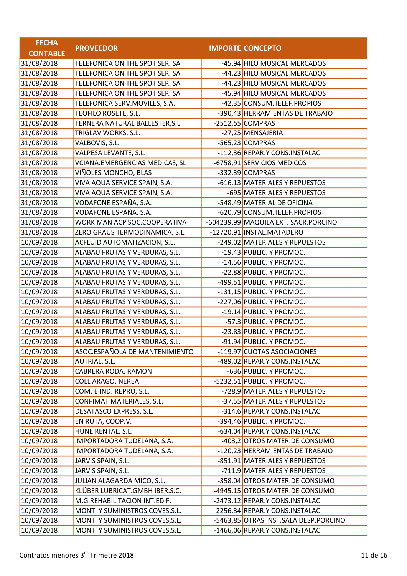| <b>FECHA</b>    |                                 |                                       |
|-----------------|---------------------------------|---------------------------------------|
| <b>CONTABLE</b> | <b>PROVEEDOR</b>                | <b>IMPORTE CONCEPTO</b>               |
| 31/08/2018      | TELEFONICA ON THE SPOT SER. SA  | -45,94 HILO MUSICAL MERCADOS          |
| 31/08/2018      | TELEFONICA ON THE SPOT SER. SA  | -44,23 HILO MUSICAL MERCADOS          |
| 31/08/2018      | TELEFONICA ON THE SPOT SER. SA  | -44,23 HILO MUSICAL MERCADOS          |
| 31/08/2018      | TELEFONICA ON THE SPOT SER. SA  | -45,94 HILO MUSICAL MERCADOS          |
| 31/08/2018      | TELEFONICA SERV.MOVILES, S.A.   | -42,35 CONSUM.TELEF.PROPIOS           |
| 31/08/2018      | TEOFILO ROSETE, S.L.            | -390,43 HERRAMIENTAS DE TRABAJO       |
| 31/08/2018      | TERNERA NATURAL BALLESTER, S.L. | $-2512,55$ COMPRAS                    |
| 31/08/2018      | TRIGLAV WORKS, S.L.             | -27,25 MENSAJERIA                     |
| 31/08/2018      | VALBOVIS, S.L.                  | -565,23 COMPRAS                       |
| 31/08/2018      | VALPESA LEVANTE, S.L.           | -112,36 REPAR.Y CONS.INSTALAC.        |
| 31/08/2018      | VCIANA.EMERGENCIAS MEDICAS, SL  | -6758,91 SERVICIOS MEDICOS            |
| 31/08/2018      | VIÑOLES MONCHO, BLAS            | -332,39 COMPRAS                       |
| 31/08/2018      | VIVA AQUA SERVICE SPAIN, S.A.   | -616,13 MATERIALES Y REPUESTOS        |
| 31/08/2018      | VIVA AQUA SERVICE SPAIN, S.A.   | -695 MATERIALES Y REPUESTOS           |
| 31/08/2018      | VODAFONE ESPAÑA, S.A.           | -548,49 MATERIAL DE OFICINA           |
| 31/08/2018      | VODAFONE ESPAÑA, S.A.           | -620,79 CONSUM.TELEF.PROPIOS          |
| 31/08/2018      | WORK MAN ACP SOC.COOPERATIVA    | -604239,99 MAQUILA EXT. SACR.PORCINO  |
| 31/08/2018      | ZERO GRAUS TERMODINAMICA, S.L.  | -12720,91 INSTAL.MATADERO             |
| 10/09/2018      | ACFLUID AUTOMATIZACION, S.L.    | -249,02 MATERIALES Y REPUESTOS        |
| 10/09/2018      | ALABAU FRUTAS Y VERDURAS, S.L.  | -19,43 PUBLIC. Y PROMOC.              |
| 10/09/2018      | ALABAU FRUTAS Y VERDURAS, S.L.  | -14,56 PUBLIC. Y PROMOC.              |
| 10/09/2018      | ALABAU FRUTAS Y VERDURAS, S.L.  | -22,88 PUBLIC. Y PROMOC.              |
| 10/09/2018      | ALABAU FRUTAS Y VERDURAS, S.L.  | -499,51 PUBLIC. Y PROMOC.             |
| 10/09/2018      | ALABAU FRUTAS Y VERDURAS, S.L.  | -131,15 PUBLIC. Y PROMOC.             |
| 10/09/2018      | ALABAU FRUTAS Y VERDURAS, S.L.  | -227,06 PUBLIC. Y PROMOC.             |
| 10/09/2018      | ALABAU FRUTAS Y VERDURAS, S.L.  | -19,14 PUBLIC. Y PROMOC.              |
| 10/09/2018      | ALABAU FRUTAS Y VERDURAS, S.L.  | -57,3 PUBLIC. Y PROMOC.               |
| 10/09/2018      | ALABAU FRUTAS Y VERDURAS, S.L.  | -23,83 PUBLIC. Y PROMOC.              |
| 10/09/2018      | ALABAU FRUTAS Y VERDURAS, S.L.  | -91,94 PUBLIC. Y PROMOC.              |
| 10/09/2018      | ASOC.ESPAÑOLA DE MANTENIMIENTO  | -119,97 CUOTAS ASOCIACIONES           |
| 10/09/2018      | AUTRIAL, S.L.                   | -489,02 REPAR.Y CONS.INSTALAC.        |
| 10/09/2018      | CABRERA RODA, RAMON             | -636 PUBLIC. Y PROMOC.                |
| 10/09/2018      | <b>COLL ARAGO, NEREA</b>        | -5232,51 PUBLIC. Y PROMOC.            |
| 10/09/2018      | COM. E IND. REPRO, S.L.         | -728,9 MATERIALES Y REPUESTOS         |
| 10/09/2018      | CONFIMAT MATERIALES, S.L.       | -37,55 MATERIALES Y REPUESTOS         |
| 10/09/2018      | DESATASCO EXPRESS, S.L.         | -314,6 REPAR.Y CONS.INSTALAC.         |
| 10/09/2018      | EN RUTA, COOP.V.                | -394,46 PUBLIC. Y PROMOC.             |
| 10/09/2018      | HUNE RENTAL, S.L.               | -634,04 REPAR.Y CONS.INSTALAC.        |
| 10/09/2018      | IMPORTADORA TUDELANA, S.A.      | -403,2 OTROS MATER.DE CONSUMO         |
| 10/09/2018      | IMPORTADORA TUDELANA, S.A.      | -120,23 HERRAMIENTAS DE TRABAJO       |
| 10/09/2018      | JARVIS SPAIN, S.L.              | -851,91 MATERIALES Y REPUESTOS        |
| 10/09/2018      | JARVIS SPAIN, S.L.              | -711,9 MATERIALES Y REPUESTOS         |
| 10/09/2018      | JULIAN ALAGARDA MICO, S.L.      | -358,04 OTROS MATER.DE CONSUMO        |
| 10/09/2018      | KLÜBER LUBRICAT.GMBH IBER.S.C.  | -4945,15 OTROS MATER.DE CONSUMO       |
| 10/09/2018      | M.G.REHABILITACION INT.EDIF.    | -2473,12 REPAR.Y CONS.INSTALAC.       |
| 10/09/2018      | MONT. Y SUMINISTROS COVES, S.L. | -2256,34 REPAR.Y CONS.INSTALAC.       |
| 10/09/2018      | MONT. Y SUMINISTROS COVES, S.L. | -5463,85 OTRAS INST.SALA DESP.PORCINO |
| 10/09/2018      | MONT. Y SUMINISTROS COVES, S.L. | -1466,06 REPAR.Y CONS.INSTALAC.       |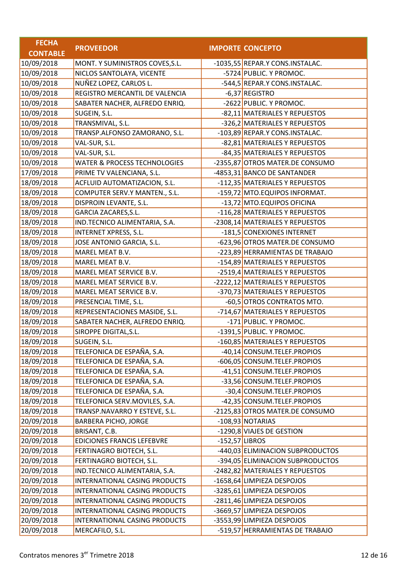| <b>FECHA</b>    |                                         |                  |                                  |
|-----------------|-----------------------------------------|------------------|----------------------------------|
| <b>CONTABLE</b> | <b>PROVEEDOR</b>                        |                  | <b>IMPORTE CONCEPTO</b>          |
| 10/09/2018      | MONT. Y SUMINISTROS COVES, S.L.         |                  | -1035,55 REPAR.Y CONS.INSTALAC.  |
| 10/09/2018      | NICLOS SANTOLAYA, VICENTE               |                  | -5724 PUBLIC. Y PROMOC.          |
| 10/09/2018      | NUÑEZ LOPEZ, CARLOS L.                  |                  | -544,5 REPAR.Y CONS.INSTALAC.    |
| 10/09/2018      | REGISTRO MERCANTIL DE VALENCIA          |                  | -6,37 REGISTRO                   |
| 10/09/2018      | SABATER NACHER, ALFREDO ENRIQ.          |                  | -2622 PUBLIC. Y PROMOC.          |
| 10/09/2018      | SUGEIN, S.L.                            |                  | -82,11 MATERIALES Y REPUESTOS    |
| 10/09/2018      | TRANSMIVAL, S.L.                        |                  | -326,2 MATERIALES Y REPUESTOS    |
| 10/09/2018      | TRANSP.ALFONSO ZAMORANO, S.L.           |                  | -103,89 REPAR.Y CONS.INSTALAC.   |
| 10/09/2018      | VAL-SUR, S.L.                           |                  | -82,81 MATERIALES Y REPUESTOS    |
| 10/09/2018      | VAL-SUR, S.L.                           |                  | -84,35 MATERIALES Y REPUESTOS    |
| 10/09/2018      | <b>WATER &amp; PROCESS TECHNOLOGIES</b> |                  | -2355,87 OTROS MATER.DE CONSUMO  |
| 17/09/2018      | PRIME TV VALENCIANA, S.L.               |                  | -4853,31 BANCO DE SANTANDER      |
| 18/09/2018      | ACFLUID AUTOMATIZACION, S.L.            |                  | -112,35 MATERIALES Y REPUESTOS   |
| 18/09/2018      | COMPUTER SERV.Y MANTEN., S.L.           |                  | -159,72 MTO.EQUIPOS INFORMAT.    |
| 18/09/2018      | DISPROIN LEVANTE, S.L.                  |                  | -13,72 MTO.EQUIPOS OFICINA       |
| 18/09/2018      | GARCIA ZACARES, S.L.                    |                  | -116,28 MATERIALES Y REPUESTOS   |
| 18/09/2018      | IND.TECNICO ALIMENTARIA, S.A.           |                  | -2308,14 MATERIALES Y REPUESTOS  |
| 18/09/2018      | <b>INTERNET XPRESS, S.L.</b>            |                  | -181,5 CONEXIONES INTERNET       |
| 18/09/2018      | JOSE ANTONIO GARCIA, S.L.               |                  | -623,96 OTROS MATER.DE CONSUMO   |
| 18/09/2018      | MAREL MEAT B.V.                         |                  | -223,89 HERRAMIENTAS DE TRABAJO  |
| 18/09/2018      | MAREL MEAT B.V.                         |                  | -154,89 MATERIALES Y REPUESTOS   |
| 18/09/2018      | MAREL MEAT SERVICE B.V.                 |                  | -2519,4 MATERIALES Y REPUESTOS   |
| 18/09/2018      | MAREL MEAT SERVICE B.V.                 |                  | -2222,12 MATERIALES Y REPUESTOS  |
| 18/09/2018      | MAREL MEAT SERVICE B.V.                 |                  | -370,73 MATERIALES Y REPUESTOS   |
| 18/09/2018      | PRESENCIAL TIME, S.L.                   |                  | -60,5 OTROS CONTRATOS MTO.       |
| 18/09/2018      | REPRESENTACIONES MASIDE, S.L.           |                  | -714,67 MATERIALES Y REPUESTOS   |
| 18/09/2018      | SABATER NACHER, ALFREDO ENRIQ.          |                  | -171 PUBLIC. Y PROMOC.           |
| 18/09/2018      | SIROPPE DIGITAL, S.L.                   |                  | -1391,5 PUBLIC. Y PROMOC.        |
| 18/09/2018      | SUGEIN, S.L.                            |                  | -160,85 MATERIALES Y REPUESTOS   |
| 18/09/2018      | TELEFONICA DE ESPAÑA, S.A.              |                  | -40,14 CONSUM.TELEF.PROPIOS      |
| 18/09/2018      | TELEFONICA DE ESPAÑA, S.A.              |                  | -606,05 CONSUM.TELEF.PROPIOS     |
| 18/09/2018      | TELEFONICA DE ESPAÑA, S.A.              |                  | -41,51 CONSUM.TELEF.PROPIOS      |
| 18/09/2018      | TELEFONICA DE ESPAÑA, S.A.              |                  | -33,56 CONSUM.TELEF.PROPIOS      |
| 18/09/2018      | TELEFONICA DE ESPAÑA, S.A.              |                  | -30,4 CONSUM.TELEF.PROPIOS       |
| 18/09/2018      | TELEFONICA SERV.MOVILES, S.A.           |                  | -42,35 CONSUM.TELEF.PROPIOS      |
| 18/09/2018      | TRANSP.NAVARRO Y ESTEVE, S.L.           |                  | -2125,83 OTROS MATER.DE CONSUMO  |
| 20/09/2018      | <b>BARBERA PICHO, JORGE</b>             |                  | -108,93 NOTARIAS                 |
| 20/09/2018      | BRISANT, C.B.                           |                  | -1290,8 VIAJES DE GESTION        |
| 20/09/2018      | <b>EDICIONES FRANCIS LEFEBVRE</b>       | $-152,57$ LIBROS |                                  |
| 20/09/2018      | FERTINAGRO BIOTECH, S.L.                |                  | -440,03 ELIMINACION SUBPRODUCTOS |
| 20/09/2018      | FERTINAGRO BIOTECH, S.L.                |                  | -394,05 ELIMINACION SUBPRODUCTOS |
| 20/09/2018      | IND.TECNICO ALIMENTARIA, S.A.           |                  | -2482,82 MATERIALES Y REPUESTOS  |
| 20/09/2018      | INTERNATIONAL CASING PRODUCTS           |                  | -1658,64 LIMPIEZA DESPOJOS       |
| 20/09/2018      | INTERNATIONAL CASING PRODUCTS           |                  | -3285,61 LIMPIEZA DESPOJOS       |
| 20/09/2018      | INTERNATIONAL CASING PRODUCTS           |                  | -2811,46 LIMPIEZA DESPOJOS       |
| 20/09/2018      | INTERNATIONAL CASING PRODUCTS           |                  | -3669,57 LIMPIEZA DESPOJOS       |
| 20/09/2018      | INTERNATIONAL CASING PRODUCTS           |                  | -3553,99 LIMPIEZA DESPOJOS       |
| 20/09/2018      | MERCAFILO, S.L.                         |                  | -519,57 HERRAMIENTAS DE TRABAJO  |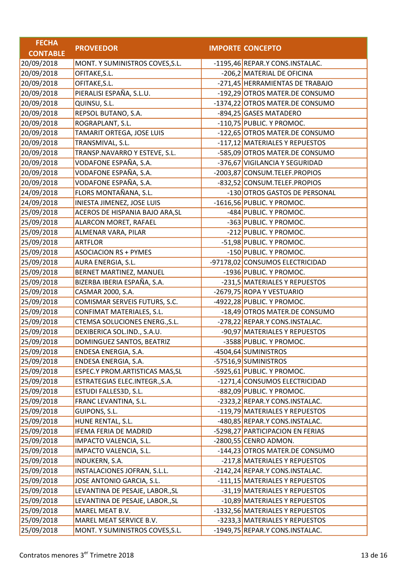| <b>FECHA</b>    |                                 |                                  |
|-----------------|---------------------------------|----------------------------------|
| <b>CONTABLE</b> | <b>PROVEEDOR</b>                | <b>IMPORTE CONCEPTO</b>          |
| 20/09/2018      | MONT. Y SUMINISTROS COVES, S.L. | -1195,46 REPAR.Y CONS.INSTALAC.  |
| 20/09/2018      | OFITAKE, S.L.                   | -206,2 MATERIAL DE OFICINA       |
| 20/09/2018      | OFITAKE, S.L.                   | -271,45 HERRAMIENTAS DE TRABAJO  |
| 20/09/2018      | PIERALISI ESPAÑA, S.L.U.        | -192,29 OTROS MATER.DE CONSUMO   |
| 20/09/2018      | QUINSU, S.L.                    | -1374,22 OTROS MATER.DE CONSUMO  |
| 20/09/2018      | REPSOL BUTANO, S.A.             | -894,25 GASES MATADERO           |
| 20/09/2018      | ROGRAPLANT, S.L.                | -110,75 PUBLIC. Y PROMOC.        |
| 20/09/2018      | TAMARIT ORTEGA, JOSE LUIS       | -122,65 OTROS MATER.DE CONSUMO   |
| 20/09/2018      | TRANSMIVAL, S.L.                | -117,12 MATERIALES Y REPUESTOS   |
| 20/09/2018      | TRANSP.NAVARRO Y ESTEVE, S.L.   | -585,09 OTROS MATER.DE CONSUMO   |
| 20/09/2018      | VODAFONE ESPAÑA, S.A.           | -376,67 VIGILANCIA Y SEGURIDAD   |
| 20/09/2018      | VODAFONE ESPAÑA, S.A.           | -2003,87 CONSUM.TELEF.PROPIOS    |
| 20/09/2018      | VODAFONE ESPAÑA, S.A.           | -832,52 CONSUM.TELEF.PROPIOS     |
| 24/09/2018      | FLORS MONTAÑANA, S.L.           | -130 OTROS GASTOS DE PERSONAL    |
| 24/09/2018      | INIESTA JIMENEZ, JOSE LUIS      | -1616,56 PUBLIC. Y PROMOC.       |
| 25/09/2018      | ACEROS DE HISPANIA BAJO ARA, SL | -484 PUBLIC. Y PROMOC.           |
| 25/09/2018      | ALARCON MORET, RAFAEL           | -363 PUBLIC. Y PROMOC.           |
| 25/09/2018      | ALMENAR VARA, PILAR             | -212 PUBLIC. Y PROMOC.           |
| 25/09/2018      | <b>ARTFLOR</b>                  | -51,98 PUBLIC. Y PROMOC.         |
| 25/09/2018      | <b>ASOCIACION RS + PYMES</b>    | -150 PUBLIC. Y PROMOC.           |
| 25/09/2018      | AURA ENERGIA, S.L.              | -97178,02 CONSUMOS ELECTRICIDAD  |
| 25/09/2018      | BERNET MARTINEZ, MANUEL         | -1936 PUBLIC. Y PROMOC.          |
| 25/09/2018      | BIZERBA IBERIA ESPAÑA, S.A.     | -231,5 MATERIALES Y REPUESTOS    |
| 25/09/2018      | CASMAR 2000, S.A.               | -2679,75 ROPA Y VESTUARIO        |
| 25/09/2018      | COMISMAR SERVEIS FUTURS, S.C.   | -4922,28 PUBLIC. Y PROMOC.       |
| 25/09/2018      | CONFIMAT MATERIALES, S.L.       | -18,49 OTROS MATER.DE CONSUMO    |
| 25/09/2018      | CTEMSA SOLUCIONES ENERG., S.L.  | -278,22 REPAR.Y CONS.INSTALAC.   |
| 25/09/2018      | DEXIBERICA SOL.IND., S.A.U.     | -90,97 MATERIALES Y REPUESTOS    |
| 25/09/2018      | DOMINGUEZ SANTOS, BEATRIZ       | -3588 PUBLIC. Y PROMOC.          |
| 25/09/2018      | ENDESA ENERGIA, S.A.            | -4504,64 SUMINISTROS             |
| 25/09/2018      | ENDESA ENERGIA, S.A.            | -57516,9 SUMINISTROS             |
| 25/09/2018      | ESPEC.Y PROM.ARTISTICAS MAS, SL | -5925,61 PUBLIC. Y PROMOC.       |
| 25/09/2018      | ESTRATEGIAS ELEC.INTEGR., S.A.  | -1271,4 CONSUMOS ELECTRICIDAD    |
| 25/09/2018      | ESTUDI FALLES3D, S.L.           | -882,09 PUBLIC. Y PROMOC.        |
| 25/09/2018      | FRANC LEVANTINA, S.L.           | -2323,2 REPAR.Y CONS.INSTALAC.   |
| 25/09/2018      | GUIPONS, S.L.                   | -119,79 MATERIALES Y REPUESTOS   |
| 25/09/2018      | HUNE RENTAL, S.L.               | -480,85 REPAR.Y CONS.INSTALAC.   |
| 25/09/2018      | <b>IFEMA FERIA DE MADRID</b>    | -5298,27 PARTICIPACION EN FERIAS |
| 25/09/2018      | IMPACTO VALENCIA, S.L.          | -2800,55 CENRO ADMON.            |
| 25/09/2018      | IMPACTO VALENCIA, S.L.          | -144,23 OTROS MATER.DE CONSUMO   |
| 25/09/2018      | INDUKERN, S.A.                  | -217,8 MATERIALES Y REPUESTOS    |
| 25/09/2018      | INSTALACIONES JOFRAN, S.L.L.    | -2142,24 REPAR.Y CONS.INSTALAC.  |
| 25/09/2018      | JOSE ANTONIO GARCIA, S.L.       | -111,15 MATERIALES Y REPUESTOS   |
| 25/09/2018      | LEVANTINA DE PESAJE, LABOR., SL | -31,19 MATERIALES Y REPUESTOS    |
| 25/09/2018      | LEVANTINA DE PESAJE, LABOR., SL | -10,89 MATERIALES Y REPUESTOS    |
| 25/09/2018      | MAREL MEAT B.V.                 | -1332,56 MATERIALES Y REPUESTOS  |
| 25/09/2018      | MAREL MEAT SERVICE B.V.         | -3233,3 MATERIALES Y REPUESTOS   |
| 25/09/2018      | MONT. Y SUMINISTROS COVES, S.L. | -1949,75 REPAR.Y CONS.INSTALAC.  |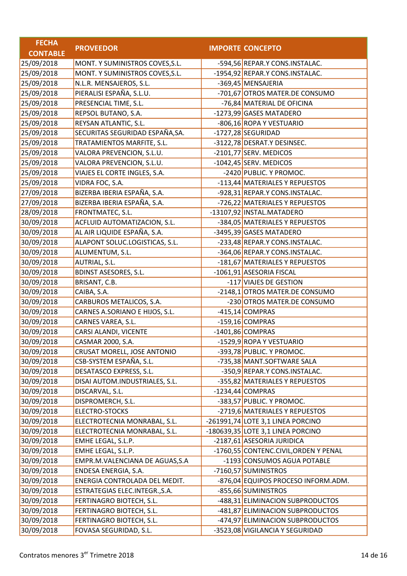| <b>FECHA</b>    |                                 |                                       |
|-----------------|---------------------------------|---------------------------------------|
| <b>CONTABLE</b> | <b>PROVEEDOR</b>                | <b>IMPORTE CONCEPTO</b>               |
| 25/09/2018      | MONT. Y SUMINISTROS COVES, S.L. | -594,56 REPAR.Y CONS.INSTALAC.        |
| 25/09/2018      | MONT. Y SUMINISTROS COVES, S.L. | -1954,92 REPAR.Y CONS.INSTALAC.       |
| 25/09/2018      | N.L.R. MENSAJEROS, S.L.         | -369,45 MENSAJERIA                    |
| 25/09/2018      | PIERALISI ESPAÑA, S.L.U.        | -701,67 OTROS MATER.DE CONSUMO        |
| 25/09/2018      | PRESENCIAL TIME, S.L.           | -76,84 MATERIAL DE OFICINA            |
| 25/09/2018      | REPSOL BUTANO, S.A.             | -1273,99 GASES MATADERO               |
| 25/09/2018      | REYSAN ATLANTIC, S.L.           | -806,16 ROPA Y VESTUARIO              |
| 25/09/2018      | SECURITAS SEGURIDAD ESPAÑA, SA. | -1727,28 SEGURIDAD                    |
| 25/09/2018      | TRATAMIENTOS MARFITE, S.L.      | -3122,78 DESRAT.Y DESINSEC.           |
| 25/09/2018      | VALORA PREVENCION, S.L.U.       | -2101,77 SERV. MEDICOS                |
| 25/09/2018      | VALORA PREVENCION, S.L.U.       | -1042,45 SERV. MEDICOS                |
| 25/09/2018      | VIAJES EL CORTE INGLES, S.A.    | -2420 PUBLIC. Y PROMOC.               |
| 25/09/2018      | VIDRA FOC, S.A.                 | -113,44 MATERIALES Y REPUESTOS        |
| 27/09/2018      | BIZERBA IBERIA ESPAÑA, S.A.     | -928,31 REPAR.Y CONS.INSTALAC.        |
| 27/09/2018      | BIZERBA IBERIA ESPAÑA, S.A.     | -726,22 MATERIALES Y REPUESTOS        |
| 28/09/2018      | FRONTMATEC, S.L.                | -13107,92 INSTAL.MATADERO             |
| 30/09/2018      | ACFLUID AUTOMATIZACION, S.L.    | -384,05 MATERIALES Y REPUESTOS        |
| 30/09/2018      | AL AIR LIQUIDE ESPAÑA, S.A.     | -3495,39 GASES MATADERO               |
| 30/09/2018      | ALAPONT SOLUC.LOGISTICAS, S.L.  | -233,48 REPAR.Y CONS.INSTALAC.        |
| 30/09/2018      | ALUMENTUM, S.L.                 | -364,06 REPAR.Y CONS.INSTALAC.        |
| 30/09/2018      | AUTRIAL, S.L.                   | -181,67 MATERIALES Y REPUESTOS        |
| 30/09/2018      | <b>BDINST ASESORES, S.L.</b>    | -1061,91 ASESORIA FISCAL              |
| 30/09/2018      | BRISANT, C.B.                   | -117 VIAJES DE GESTION                |
| 30/09/2018      | CAIBA, S.A.                     | -2148,1 OTROS MATER.DE CONSUMO        |
| 30/09/2018      | CARBUROS METALICOS, S.A.        | -230 OTROS MATER.DE CONSUMO           |
| 30/09/2018      | CARNES A.SORIANO E HIJOS, S.L.  | -415,14 COMPRAS                       |
| 30/09/2018      | CARNES VAREA, S.L.              | -159,16 COMPRAS                       |
| 30/09/2018      | CARSI ALANDI, VICENTE           | $-1401,86$ COMPRAS                    |
| 30/09/2018      | CASMAR 2000, S.A.               | -1529,9 ROPA Y VESTUARIO              |
| 30/09/2018      | CRUSAT MORELL, JOSE ANTONIO     | -393,78 PUBLIC. Y PROMOC.             |
| 30/09/2018      | CSB-SYSTEM ESPAÑA, S.L.         | -735,38 MANT.SOFTWARE SALA            |
| 30/09/2018      | DESATASCO EXPRESS, S.L.         | -350,9 REPAR.Y CONS.INSTALAC.         |
| 30/09/2018      | DISAI AUTOM.INDUSTRIALES, S.L.  | -355,82 MATERIALES Y REPUESTOS        |
| 30/09/2018      | DISCARVAL, S.L.                 | $-1234,44$ COMPRAS                    |
| 30/09/2018      | DISPROMERCH, S.L.               | -383,57 PUBLIC. Y PROMOC.             |
| 30/09/2018      | <b>ELECTRO-STOCKS</b>           | -2719,6 MATERIALES Y REPUESTOS        |
| 30/09/2018      | ELECTROTECNIA MONRABAL, S.L.    | -261991,74 LOTE 3,1 LINEA PORCINO     |
| 30/09/2018      | ELECTROTECNIA MONRABAL, S.L.    | $-180639,35$ LOTE 3,1 LINEA PORCINO   |
| 30/09/2018      | EMHE LEGAL, S.L.P.              | -2187,61 ASESORIA JURIDICA            |
| 30/09/2018      | EMHE LEGAL, S.L.P.              | -1760,55 CONTENC.CIVIL, ORDEN Y PENAL |
| 30/09/2018      | EMPR.M.VALENCIANA DE AGUAS, S.A | -1193 CONSUMOS AGUA POTABLE           |
| 30/09/2018      | ENDESA ENERGIA, S.A.            | -7160,57 SUMINISTROS                  |
| 30/09/2018      | ENERGIA CONTROLADA DEL MEDIT.   | -876,04 EQUIPOS PROCESO INFORM.ADM.   |
| 30/09/2018      | ESTRATEGIAS ELEC.INTEGR., S.A.  | -855,66 SUMINISTROS                   |
| 30/09/2018      | FERTINAGRO BIOTECH, S.L.        | -488,31 ELIMINACION SUBPRODUCTOS      |
| 30/09/2018      | FERTINAGRO BIOTECH, S.L.        | -481,87 ELIMINACION SUBPRODUCTOS      |
| 30/09/2018      | FERTINAGRO BIOTECH, S.L.        | -474,97 ELIMINACION SUBPRODUCTOS      |
| 30/09/2018      | FOVASA SEGURIDAD, S.L.          | -3523,08 VIGILANCIA Y SEGURIDAD       |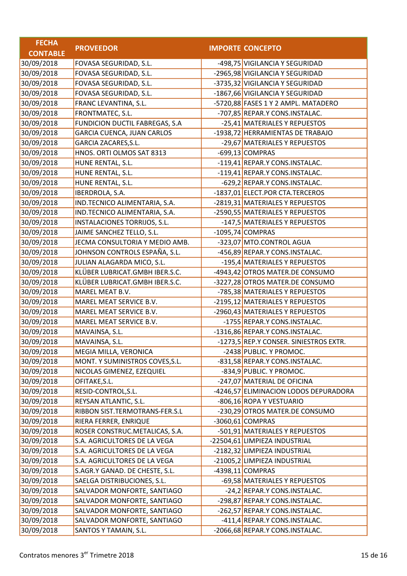| <b>FECHA</b>    |                                   |                                        |
|-----------------|-----------------------------------|----------------------------------------|
| <b>CONTABLE</b> | <b>PROVEEDOR</b>                  | <b>IMPORTE CONCEPTO</b>                |
| 30/09/2018      | FOVASA SEGURIDAD, S.L.            | -498,75 VIGILANCIA Y SEGURIDAD         |
| 30/09/2018      | FOVASA SEGURIDAD, S.L.            | -2965,98 VIGILANCIA Y SEGURIDAD        |
| 30/09/2018      | FOVASA SEGURIDAD, S.L.            | -3735,32 VIGILANCIA Y SEGURIDAD        |
| 30/09/2018      | FOVASA SEGURIDAD, S.L.            | -1867,66 VIGILANCIA Y SEGURIDAD        |
| 30/09/2018      | FRANC LEVANTINA, S.L.             | -5720,88 FASES 1 Y 2 AMPL. MATADERO    |
| 30/09/2018      | FRONTMATEC, S.L.                  | -707,85 REPAR.Y CONS.INSTALAC.         |
| 30/09/2018      | FUNDICION DUCTIL FABREGAS, S.A    | -25,41 MATERIALES Y REPUESTOS          |
| 30/09/2018      | <b>GARCIA CUENCA, JUAN CARLOS</b> | -1938,72 HERRAMIENTAS DE TRABAJO       |
| 30/09/2018      | GARCIA ZACARES, S.L.              | -29,67 MATERIALES Y REPUESTOS          |
| 30/09/2018      | HNOS. ORTI OLMOS SAT 8313         | -699,13 COMPRAS                        |
| 30/09/2018      | HUNE RENTAL, S.L.                 | -119,41 REPAR.Y CONS.INSTALAC.         |
| 30/09/2018      | HUNE RENTAL, S.L.                 | -119,41 REPAR.Y CONS.INSTALAC.         |
| 30/09/2018      | HUNE RENTAL, S.L.                 | -629,2 REPAR.Y CONS.INSTALAC.          |
| 30/09/2018      | IBERDROLA, S.A.                   | -1837,01 ELECT.POR CTA.TERCEROS        |
| 30/09/2018      | IND.TECNICO ALIMENTARIA, S.A.     | -2819,31 MATERIALES Y REPUESTOS        |
| 30/09/2018      | IND.TECNICO ALIMENTARIA, S.A.     | -2590,55 MATERIALES Y REPUESTOS        |
| 30/09/2018      | INSTALACIONES TORRIJOS, S.L.      | -147,5 MATERIALES Y REPUESTOS          |
| 30/09/2018      | JAIME SANCHEZ TELLO, S.L.         | $-1095,74$ COMPRAS                     |
| 30/09/2018      | JECMA CONSULTORIA Y MEDIO AMB.    | -323,07 MTO.CONTROL AGUA               |
| 30/09/2018      | JOHNSON CONTROLS ESPAÑA, S.L.     | -456,89 REPAR.Y CONS.INSTALAC.         |
| 30/09/2018      | JULIAN ALAGARDA MICO, S.L.        | -195,4 MATERIALES Y REPUESTOS          |
| 30/09/2018      | KLÜBER LUBRICAT.GMBH IBER.S.C.    | -4943,42 OTROS MATER.DE CONSUMO        |
| 30/09/2018      | KLÜBER LUBRICAT.GMBH IBER.S.C.    | -3227,28 OTROS MATER.DE CONSUMO        |
| 30/09/2018      | MAREL MEAT B.V.                   | -785,38 MATERIALES Y REPUESTOS         |
| 30/09/2018      | MAREL MEAT SERVICE B.V.           | -2195,12 MATERIALES Y REPUESTOS        |
| 30/09/2018      | MAREL MEAT SERVICE B.V.           | -2960,43 MATERIALES Y REPUESTOS        |
| 30/09/2018      | MAREL MEAT SERVICE B.V.           | -1755 REPAR.Y CONS.INSTALAC.           |
| 30/09/2018      | MAVAINSA, S.L.                    | -1316,86 REPAR.Y CONS.INSTALAC.        |
| 30/09/2018      | MAVAINSA, S.L.                    | -1273,5 REP.Y CONSER. SINIESTROS EXTR. |
| 30/09/2018      | MEGIA MILLA, VERONICA             | -2438 PUBLIC. Y PROMOC.                |
| 30/09/2018      | MONT. Y SUMINISTROS COVES, S.L.   | -831,58 REPAR.Y CONS.INSTALAC.         |
| 30/09/2018      | NICOLAS GIMENEZ, EZEQUIEL         | $-834.9$ PUBLIC. Y PROMOC.             |
| 30/09/2018      | OFITAKE, S.L.                     | -247,07 MATERIAL DE OFICINA            |
| 30/09/2018      | RESID-CONTROL, S.L.               | -4246,57 ELIMINACION LODOS DEPURADORA  |
| 30/09/2018      | REYSAN ATLANTIC, S.L.             | -806,16 ROPA Y VESTUARIO               |
| 30/09/2018      | RIBBON SIST.TERMOTRANS-FER.S.L    | -230,29 OTROS MATER.DE CONSUMO         |
| 30/09/2018      | RIERA FERRER, ENRIQUE             | $-3060,61$ COMPRAS                     |
| 30/09/2018      | ROSER CONSTRUC.METALICAS, S.A.    | -501,91 MATERIALES Y REPUESTOS         |
| 30/09/2018      | S.A. AGRICULTORES DE LA VEGA      | -22504,61 LIMPIEZA INDUSTRIAL          |
| 30/09/2018      | S.A. AGRICULTORES DE LA VEGA      | -2182,32 LIMPIEZA INDUSTRIAL           |
| 30/09/2018      | S.A. AGRICULTORES DE LA VEGA      | -21005,2 LIMPIEZA INDUSTRIAL           |
| 30/09/2018      | S.AGR.Y GANAD. DE CHESTE, S.L.    | -4398,11 COMPRAS                       |
| 30/09/2018      | SAELGA DISTRIBUCIONES, S.L.       | -69,58 MATERIALES Y REPUESTOS          |
| 30/09/2018      | SALVADOR MONFORTE, SANTIAGO       | -24,2 REPAR.Y CONS.INSTALAC.           |
| 30/09/2018      | SALVADOR MONFORTE, SANTIAGO       | -298,87 REPAR.Y CONS.INSTALAC.         |
| 30/09/2018      | SALVADOR MONFORTE, SANTIAGO       | -262,57 REPAR.Y CONS.INSTALAC.         |
| 30/09/2018      | SALVADOR MONFORTE, SANTIAGO       | -411,4 REPAR.Y CONS.INSTALAC.          |
| 30/09/2018      | SANTOS Y TAMAIN, S.L.             | -2066,68 REPAR.Y CONS.INSTALAC.        |